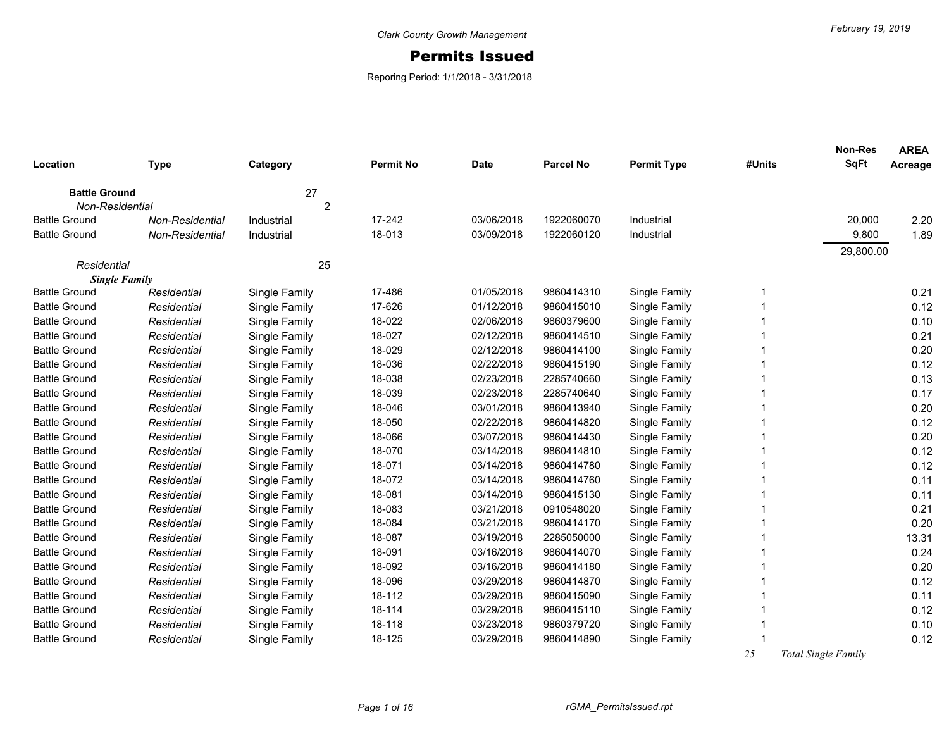## Permits Issued

Reporing Period: 1/1/2018 - 3/31/2018

| Location               | <b>Type</b>     | Category       | <b>Permit No</b> | <b>Date</b> | <b>Parcel No</b> | <b>Permit Type</b> | #Units | <b>Non-Res</b><br><b>SqFt</b> | <b>AREA</b><br>Acreage |
|------------------------|-----------------|----------------|------------------|-------------|------------------|--------------------|--------|-------------------------------|------------------------|
| <b>Battle Ground</b>   |                 | 27             |                  |             |                  |                    |        |                               |                        |
| <b>Non-Residential</b> |                 | $\overline{2}$ |                  |             |                  |                    |        |                               |                        |
| <b>Battle Ground</b>   | Non-Residential | Industrial     | 17-242           | 03/06/2018  | 1922060070       | Industrial         |        | 20,000                        | 2.20                   |
| <b>Battle Ground</b>   | Non-Residential | Industrial     | 18-013           | 03/09/2018  | 1922060120       | Industrial         |        | 9,800                         | 1.89                   |
|                        |                 |                |                  |             |                  |                    |        | 29,800.00                     |                        |
| Residential            |                 | 25             |                  |             |                  |                    |        |                               |                        |
| <b>Single Family</b>   |                 |                |                  |             |                  |                    |        |                               |                        |
| <b>Battle Ground</b>   | Residential     | Single Family  | 17-486           | 01/05/2018  | 9860414310       | Single Family      |        |                               | 0.21                   |
| <b>Battle Ground</b>   | Residential     | Single Family  | 17-626           | 01/12/2018  | 9860415010       | Single Family      |        |                               | 0.12                   |
| <b>Battle Ground</b>   | Residential     | Single Family  | 18-022           | 02/06/2018  | 9860379600       | Single Family      |        |                               | 0.10                   |
| <b>Battle Ground</b>   | Residential     | Single Family  | 18-027           | 02/12/2018  | 9860414510       | Single Family      |        |                               | 0.21                   |
| <b>Battle Ground</b>   | Residential     | Single Family  | 18-029           | 02/12/2018  | 9860414100       | Single Family      |        |                               | 0.20                   |
| <b>Battle Ground</b>   | Residential     | Single Family  | 18-036           | 02/22/2018  | 9860415190       | Single Family      |        |                               | 0.12                   |
| <b>Battle Ground</b>   | Residential     | Single Family  | 18-038           | 02/23/2018  | 2285740660       | Single Family      |        |                               | 0.13                   |
| <b>Battle Ground</b>   | Residential     | Single Family  | 18-039           | 02/23/2018  | 2285740640       | Single Family      |        |                               | 0.17                   |
| <b>Battle Ground</b>   | Residential     | Single Family  | 18-046           | 03/01/2018  | 9860413940       | Single Family      |        |                               | 0.20                   |
| <b>Battle Ground</b>   | Residential     | Single Family  | 18-050           | 02/22/2018  | 9860414820       | Single Family      |        |                               | 0.12                   |
| <b>Battle Ground</b>   | Residential     | Single Family  | 18-066           | 03/07/2018  | 9860414430       | Single Family      |        |                               | 0.20                   |
| <b>Battle Ground</b>   | Residential     | Single Family  | 18-070           | 03/14/2018  | 9860414810       | Single Family      |        |                               | 0.12                   |
| <b>Battle Ground</b>   | Residential     | Single Family  | 18-071           | 03/14/2018  | 9860414780       | Single Family      |        |                               | 0.12                   |
| <b>Battle Ground</b>   | Residential     | Single Family  | 18-072           | 03/14/2018  | 9860414760       | Single Family      |        |                               | 0.11                   |
| <b>Battle Ground</b>   | Residential     | Single Family  | 18-081           | 03/14/2018  | 9860415130       | Single Family      |        |                               | 0.11                   |
| <b>Battle Ground</b>   | Residential     | Single Family  | 18-083           | 03/21/2018  | 0910548020       | Single Family      |        |                               | 0.21                   |
| <b>Battle Ground</b>   | Residential     | Single Family  | 18-084           | 03/21/2018  | 9860414170       | Single Family      |        |                               | 0.20                   |
| <b>Battle Ground</b>   | Residential     | Single Family  | 18-087           | 03/19/2018  | 2285050000       | Single Family      |        |                               | 13.31                  |
| <b>Battle Ground</b>   | Residential     | Single Family  | 18-091           | 03/16/2018  | 9860414070       | Single Family      |        |                               | 0.24                   |
| <b>Battle Ground</b>   | Residential     | Single Family  | 18-092           | 03/16/2018  | 9860414180       | Single Family      |        |                               | 0.20                   |
| <b>Battle Ground</b>   | Residential     | Single Family  | 18-096           | 03/29/2018  | 9860414870       | Single Family      |        |                               | 0.12                   |
| <b>Battle Ground</b>   | Residential     | Single Family  | 18-112           | 03/29/2018  | 9860415090       | Single Family      |        |                               | 0.11                   |
| <b>Battle Ground</b>   | Residential     | Single Family  | 18-114           | 03/29/2018  | 9860415110       | Single Family      |        |                               | 0.12                   |
| <b>Battle Ground</b>   | Residential     | Single Family  | 18-118           | 03/23/2018  | 9860379720       | Single Family      |        |                               | 0.10                   |
| <b>Battle Ground</b>   | Residential     | Single Family  | 18-125           | 03/29/2018  | 9860414890       | Single Family      |        |                               | 0.12                   |
|                        |                 |                |                  |             |                  |                    | 25     | Total Single Family           |                        |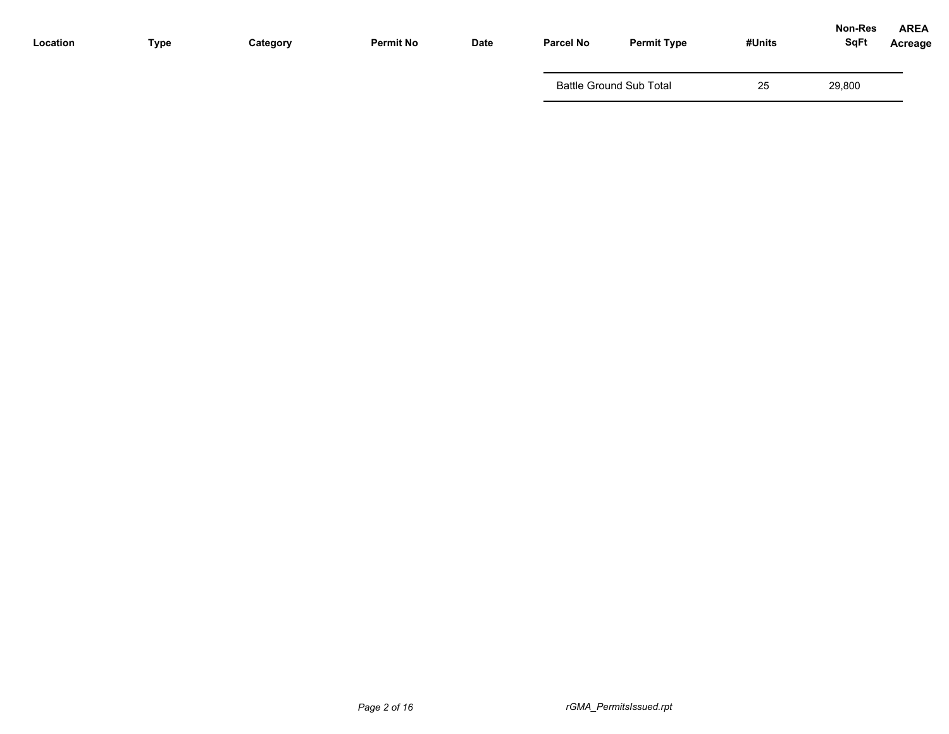| Location | <b>Type</b> | Category | <b>Permit No</b> | <b>Date</b> | <b>Parcel No</b> | <b>Permit Type</b>             | #Units | <b>Non-Res</b><br><b>SqFt</b> | <b>AREA</b><br>Acreage |
|----------|-------------|----------|------------------|-------------|------------------|--------------------------------|--------|-------------------------------|------------------------|
|          |             |          |                  |             |                  | <b>Battle Ground Sub Total</b> | 25     | 29,800                        |                        |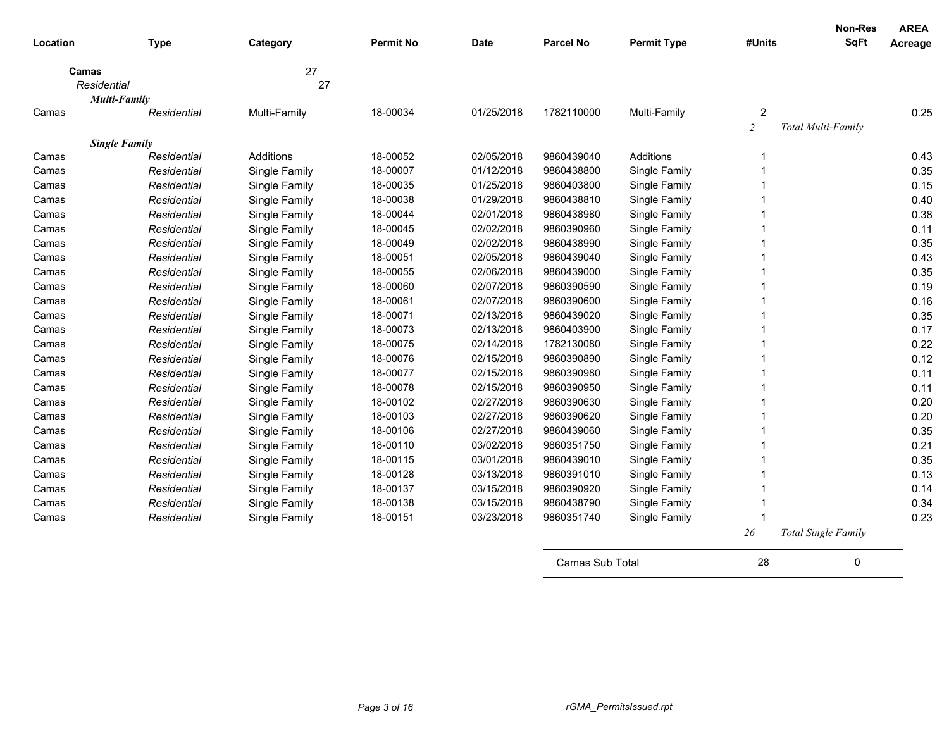| Location | <b>Type</b>          | Category      | <b>Permit No</b> | Date       | <b>Parcel No</b> | <b>Permit Type</b> | #Units         | <b>Non-Res</b><br><b>SqFt</b> | <b>AREA</b><br>Acreage |
|----------|----------------------|---------------|------------------|------------|------------------|--------------------|----------------|-------------------------------|------------------------|
|          |                      |               |                  |            |                  |                    |                |                               |                        |
| Camas    | Residential          | 27<br>27      |                  |            |                  |                    |                |                               |                        |
|          | <b>Multi-Family</b>  |               |                  |            |                  |                    |                |                               |                        |
| Camas    | Residential          | Multi-Family  | 18-00034         | 01/25/2018 | 1782110000       | Multi-Family       | $\sqrt{2}$     |                               | 0.25                   |
|          |                      |               |                  |            |                  |                    | $\overline{c}$ | Total Multi-Family            |                        |
|          | <b>Single Family</b> |               |                  |            |                  |                    |                |                               |                        |
| Camas    | Residential          | Additions     | 18-00052         | 02/05/2018 | 9860439040       | Additions          |                |                               | 0.43                   |
| Camas    | Residential          | Single Family | 18-00007         | 01/12/2018 | 9860438800       | Single Family      |                |                               | 0.35                   |
| Camas    | Residential          | Single Family | 18-00035         | 01/25/2018 | 9860403800       | Single Family      |                |                               | 0.15                   |
| Camas    | Residential          | Single Family | 18-00038         | 01/29/2018 | 9860438810       | Single Family      |                |                               | 0.40                   |
| Camas    | Residential          | Single Family | 18-00044         | 02/01/2018 | 9860438980       | Single Family      |                |                               | 0.38                   |
| Camas    | Residential          | Single Family | 18-00045         | 02/02/2018 | 9860390960       | Single Family      |                |                               | 0.11                   |
| Camas    | Residential          | Single Family | 18-00049         | 02/02/2018 | 9860438990       | Single Family      |                |                               | 0.35                   |
| Camas    | Residential          | Single Family | 18-00051         | 02/05/2018 | 9860439040       | Single Family      |                |                               | 0.43                   |
| Camas    | Residential          | Single Family | 18-00055         | 02/06/2018 | 9860439000       | Single Family      |                |                               | 0.35                   |
| Camas    | Residential          | Single Family | 18-00060         | 02/07/2018 | 9860390590       | Single Family      |                |                               | 0.19                   |
| Camas    | Residential          | Single Family | 18-00061         | 02/07/2018 | 9860390600       | Single Family      |                |                               | 0.16                   |
| Camas    | Residential          | Single Family | 18-00071         | 02/13/2018 | 9860439020       | Single Family      |                |                               | 0.35                   |
| Camas    | Residential          | Single Family | 18-00073         | 02/13/2018 | 9860403900       | Single Family      |                |                               | 0.17                   |
| Camas    | Residential          | Single Family | 18-00075         | 02/14/2018 | 1782130080       | Single Family      |                |                               | 0.22                   |
| Camas    | Residential          | Single Family | 18-00076         | 02/15/2018 | 9860390890       | Single Family      |                |                               | 0.12                   |
| Camas    | Residential          | Single Family | 18-00077         | 02/15/2018 | 9860390980       | Single Family      |                |                               | 0.11                   |
| Camas    | Residential          | Single Family | 18-00078         | 02/15/2018 | 9860390950       | Single Family      |                |                               | 0.11                   |
| Camas    | Residential          | Single Family | 18-00102         | 02/27/2018 | 9860390630       | Single Family      |                |                               | 0.20                   |
| Camas    | Residential          | Single Family | 18-00103         | 02/27/2018 | 9860390620       | Single Family      |                |                               | 0.20                   |
| Camas    | Residential          | Single Family | 18-00106         | 02/27/2018 | 9860439060       | Single Family      |                |                               | 0.35                   |
| Camas    | Residential          | Single Family | 18-00110         | 03/02/2018 | 9860351750       | Single Family      |                |                               | 0.21                   |
| Camas    | Residential          | Single Family | 18-00115         | 03/01/2018 | 9860439010       | Single Family      |                |                               | 0.35                   |
| Camas    | Residential          | Single Family | 18-00128         | 03/13/2018 | 9860391010       | Single Family      |                |                               | 0.13                   |
| Camas    | Residential          | Single Family | 18-00137         | 03/15/2018 | 9860390920       | Single Family      |                |                               | 0.14                   |
| Camas    | Residential          | Single Family | 18-00138         | 03/15/2018 | 9860438790       | Single Family      |                |                               | 0.34                   |
| Camas    | Residential          | Single Family | 18-00151         | 03/23/2018 | 9860351740       | Single Family      |                |                               | 0.23                   |
|          |                      |               |                  |            |                  |                    | $26\,$         | <b>Total Single Family</b>    |                        |
|          |                      |               |                  |            | Camas Sub Total  |                    | 28             | 0                             |                        |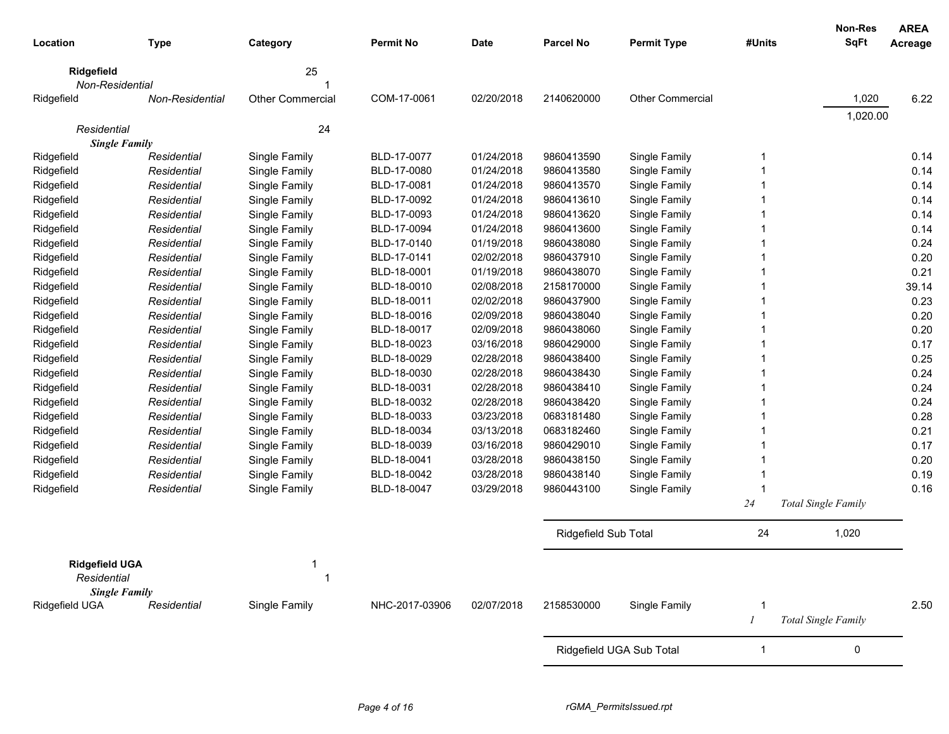| Location              | <b>Type</b>     | Category         | <b>Permit No</b> | Date       | <b>Parcel No</b>     | <b>Permit Type</b>       | #Units         | <b>Non-Res</b><br><b>SqFt</b> | <b>AREA</b><br>Acreage |
|-----------------------|-----------------|------------------|------------------|------------|----------------------|--------------------------|----------------|-------------------------------|------------------------|
| Ridgefield            |                 | 25               |                  |            |                      |                          |                |                               |                        |
| Non-Residential       |                 |                  |                  |            |                      |                          |                |                               |                        |
| Ridgefield            | Non-Residential | Other Commercial | COM-17-0061      | 02/20/2018 | 2140620000           | Other Commercial         |                | 1,020                         | 6.22                   |
|                       |                 |                  |                  |            |                      |                          |                | 1,020.00                      |                        |
| Residential           |                 | 24               |                  |            |                      |                          |                |                               |                        |
| <b>Single Family</b>  |                 |                  |                  |            |                      |                          |                |                               |                        |
| Ridgefield            | Residential     | Single Family    | BLD-17-0077      | 01/24/2018 | 9860413590           | Single Family            | -1             |                               | 0.14                   |
| Ridgefield            | Residential     | Single Family    | BLD-17-0080      | 01/24/2018 | 9860413580           | Single Family            |                |                               | 0.14                   |
| Ridgefield            | Residential     | Single Family    | BLD-17-0081      | 01/24/2018 | 9860413570           | Single Family            |                |                               | 0.14                   |
| Ridgefield            | Residential     | Single Family    | BLD-17-0092      | 01/24/2018 | 9860413610           | Single Family            |                |                               | 0.14                   |
| Ridgefield            | Residential     | Single Family    | BLD-17-0093      | 01/24/2018 | 9860413620           | Single Family            |                |                               | 0.14                   |
| Ridgefield            | Residential     | Single Family    | BLD-17-0094      | 01/24/2018 | 9860413600           | Single Family            |                |                               | 0.14                   |
| Ridgefield            | Residential     | Single Family    | BLD-17-0140      | 01/19/2018 | 9860438080           | Single Family            |                |                               | 0.24                   |
| Ridgefield            | Residential     | Single Family    | BLD-17-0141      | 02/02/2018 | 9860437910           | Single Family            |                |                               | 0.20                   |
| Ridgefield            | Residential     | Single Family    | BLD-18-0001      | 01/19/2018 | 9860438070           | Single Family            |                |                               | 0.21                   |
| Ridgefield            | Residential     | Single Family    | BLD-18-0010      | 02/08/2018 | 2158170000           | Single Family            |                |                               | 39.14                  |
| Ridgefield            | Residential     | Single Family    | BLD-18-0011      | 02/02/2018 | 9860437900           | Single Family            |                |                               | 0.23                   |
| Ridgefield            | Residential     | Single Family    | BLD-18-0016      | 02/09/2018 | 9860438040           | Single Family            |                |                               | 0.20                   |
| Ridgefield            | Residential     | Single Family    | BLD-18-0017      | 02/09/2018 | 9860438060           | Single Family            |                |                               | 0.20                   |
| Ridgefield            | Residential     | Single Family    | BLD-18-0023      | 03/16/2018 | 9860429000           | Single Family            |                |                               | 0.17                   |
| Ridgefield            | Residential     | Single Family    | BLD-18-0029      | 02/28/2018 | 9860438400           | Single Family            |                |                               | 0.25                   |
| Ridgefield            | Residential     | Single Family    | BLD-18-0030      | 02/28/2018 | 9860438430           | Single Family            |                |                               | 0.24                   |
| Ridgefield            | Residential     | Single Family    | BLD-18-0031      | 02/28/2018 | 9860438410           | Single Family            |                |                               | 0.24                   |
| Ridgefield            | Residential     | Single Family    | BLD-18-0032      | 02/28/2018 | 9860438420           | Single Family            |                |                               | 0.24                   |
| Ridgefield            | Residential     | Single Family    | BLD-18-0033      | 03/23/2018 | 0683181480           | Single Family            |                |                               | 0.28                   |
| Ridgefield            | Residential     | Single Family    | BLD-18-0034      | 03/13/2018 | 0683182460           | Single Family            |                |                               | 0.21                   |
| Ridgefield            | Residential     | Single Family    | BLD-18-0039      | 03/16/2018 | 9860429010           | Single Family            |                |                               | 0.17                   |
| Ridgefield            | Residential     | Single Family    | BLD-18-0041      | 03/28/2018 | 9860438150           | Single Family            |                |                               | 0.20                   |
| Ridgefield            | Residential     | Single Family    | BLD-18-0042      | 03/28/2018 | 9860438140           | Single Family            |                |                               | 0.19                   |
| Ridgefield            | Residential     | Single Family    | BLD-18-0047      | 03/29/2018 | 9860443100           | Single Family            |                |                               | 0.16                   |
|                       |                 |                  |                  |            |                      |                          | 24             | Total Single Family           |                        |
|                       |                 |                  |                  |            | Ridgefield Sub Total |                          | 24             | 1,020                         |                        |
|                       |                 |                  |                  |            |                      |                          |                |                               |                        |
| <b>Ridgefield UGA</b> |                 |                  |                  |            |                      |                          |                |                               |                        |
| Residential           |                 |                  |                  |            |                      |                          |                |                               |                        |
| <b>Single Family</b>  |                 |                  | NHC-2017-03906   | 02/07/2018 | 2158530000           |                          | -1             |                               |                        |
| Ridgefield UGA        | Residential     | Single Family    |                  |            |                      | Single Family            | $\overline{I}$ | <b>Total Single Family</b>    | 2.50                   |
|                       |                 |                  |                  |            |                      | Ridgefield UGA Sub Total | 1              | 0                             |                        |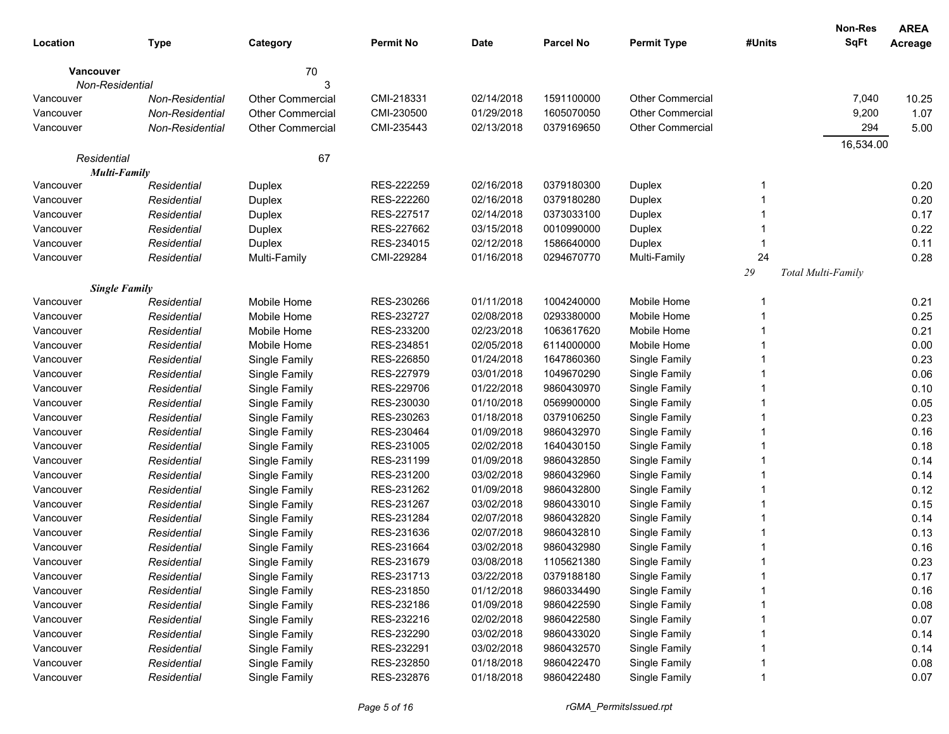|                      |                 |                         |                  |             |                  |                         |        | Non-Res            | <b>AREA</b> |
|----------------------|-----------------|-------------------------|------------------|-------------|------------------|-------------------------|--------|--------------------|-------------|
| Location             | <b>Type</b>     | Category                | <b>Permit No</b> | <b>Date</b> | <b>Parcel No</b> | <b>Permit Type</b>      | #Units | <b>SqFt</b>        | Acreage     |
| <b>Vancouver</b>     |                 | 70                      |                  |             |                  |                         |        |                    |             |
| Non-Residential      |                 | 3                       |                  |             |                  |                         |        |                    |             |
| Vancouver            | Non-Residential | <b>Other Commercial</b> | CMI-218331       | 02/14/2018  | 1591100000       | <b>Other Commercial</b> |        | 7,040              | 10.25       |
| Vancouver            | Non-Residential | <b>Other Commercial</b> | CMI-230500       | 01/29/2018  | 1605070050       | <b>Other Commercial</b> |        | 9,200              | 1.07        |
| Vancouver            | Non-Residential | <b>Other Commercial</b> | CMI-235443       | 02/13/2018  | 0379169650       | <b>Other Commercial</b> |        | 294                | 5.00        |
|                      |                 |                         |                  |             |                  |                         |        | 16,534.00          |             |
| Residential          |                 | 67                      |                  |             |                  |                         |        |                    |             |
| Multi-Family         |                 |                         |                  |             |                  |                         |        |                    |             |
| Vancouver            | Residential     | Duplex                  | RES-222259       | 02/16/2018  | 0379180300       | Duplex                  | -1     |                    | 0.20        |
| Vancouver            | Residential     | Duplex                  | RES-222260       | 02/16/2018  | 0379180280       | Duplex                  |        |                    | 0.20        |
| Vancouver            | Residential     | Duplex                  | RES-227517       | 02/14/2018  | 0373033100       | Duplex                  |        |                    | 0.17        |
| Vancouver            | Residential     | Duplex                  | RES-227662       | 03/15/2018  | 0010990000       | Duplex                  |        |                    | 0.22        |
| Vancouver            | Residential     | Duplex                  | RES-234015       | 02/12/2018  | 1586640000       | Duplex                  |        |                    | 0.11        |
| Vancouver            | Residential     | Multi-Family            | CMI-229284       | 01/16/2018  | 0294670770       | Multi-Family            | 24     |                    | 0.28        |
|                      |                 |                         |                  |             |                  |                         | $29\,$ | Total Multi-Family |             |
| <b>Single Family</b> |                 |                         |                  |             |                  |                         |        |                    |             |
| Vancouver            | Residential     | Mobile Home             | RES-230266       | 01/11/2018  | 1004240000       | Mobile Home             | -1     |                    | 0.21        |
| Vancouver            | Residential     | Mobile Home             | RES-232727       | 02/08/2018  | 0293380000       | Mobile Home             |        |                    | 0.25        |
| Vancouver            | Residential     | Mobile Home             | RES-233200       | 02/23/2018  | 1063617620       | Mobile Home             |        |                    | 0.21        |
| Vancouver            | Residential     | Mobile Home             | RES-234851       | 02/05/2018  | 6114000000       | Mobile Home             |        |                    | 0.00        |
| Vancouver            | Residential     | Single Family           | RES-226850       | 01/24/2018  | 1647860360       | Single Family           |        |                    | 0.23        |
| Vancouver            | Residential     | Single Family           | RES-227979       | 03/01/2018  | 1049670290       | Single Family           |        |                    | 0.06        |
| Vancouver            | Residential     | Single Family           | RES-229706       | 01/22/2018  | 9860430970       | Single Family           |        |                    | 0.10        |
| Vancouver            | Residential     | Single Family           | RES-230030       | 01/10/2018  | 0569900000       | Single Family           |        |                    | 0.05        |
| Vancouver            | Residential     | Single Family           | RES-230263       | 01/18/2018  | 0379106250       | Single Family           |        |                    | 0.23        |
| Vancouver            | Residential     | Single Family           | RES-230464       | 01/09/2018  | 9860432970       | Single Family           |        |                    | 0.16        |
| Vancouver            | Residential     | Single Family           | RES-231005       | 02/02/2018  | 1640430150       | Single Family           |        |                    | 0.18        |
| Vancouver            | Residential     | Single Family           | RES-231199       | 01/09/2018  | 9860432850       | Single Family           |        |                    | 0.14        |
| Vancouver            | Residential     | Single Family           | RES-231200       | 03/02/2018  | 9860432960       | Single Family           |        |                    | 0.14        |
| Vancouver            | Residential     | Single Family           | RES-231262       | 01/09/2018  | 9860432800       | Single Family           |        |                    | 0.12        |
| Vancouver            | Residential     | Single Family           | RES-231267       | 03/02/2018  | 9860433010       | Single Family           |        |                    | 0.15        |
| Vancouver            | Residential     | Single Family           | RES-231284       | 02/07/2018  | 9860432820       | Single Family           |        |                    | 0.14        |
| Vancouver            | Residential     | Single Family           | RES-231636       | 02/07/2018  | 9860432810       | Single Family           |        |                    | 0.13        |
| Vancouver            | Residential     | Single Family           | RES-231664       | 03/02/2018  | 9860432980       | Single Family           |        |                    | 0.16        |
| Vancouver            | Residential     | Single Family           | RES-231679       | 03/08/2018  | 1105621380       | Single Family           |        |                    | 0.23        |
| Vancouver            | Residential     | Single Family           | RES-231713       | 03/22/2018  | 0379188180       | Single Family           |        |                    | 0.17        |
| Vancouver            | Residential     | Single Family           | RES-231850       | 01/12/2018  | 9860334490       | Single Family           |        |                    | 0.16        |
| Vancouver            | Residential     | Single Family           | RES-232186       | 01/09/2018  | 9860422590       | Single Family           |        |                    | 0.08        |
| Vancouver            | Residential     | Single Family           | RES-232216       | 02/02/2018  | 9860422580       | Single Family           |        |                    | 0.07        |
| Vancouver            | Residential     | Single Family           | RES-232290       | 03/02/2018  | 9860433020       | Single Family           |        |                    | 0.14        |
| Vancouver            | Residential     | Single Family           | RES-232291       | 03/02/2018  | 9860432570       | Single Family           |        |                    | 0.14        |
| Vancouver            | Residential     | Single Family           | RES-232850       | 01/18/2018  | 9860422470       | Single Family           |        |                    | 0.08        |
| Vancouver            | Residential     | Single Family           | RES-232876       | 01/18/2018  | 9860422480       | Single Family           |        |                    | 0.07        |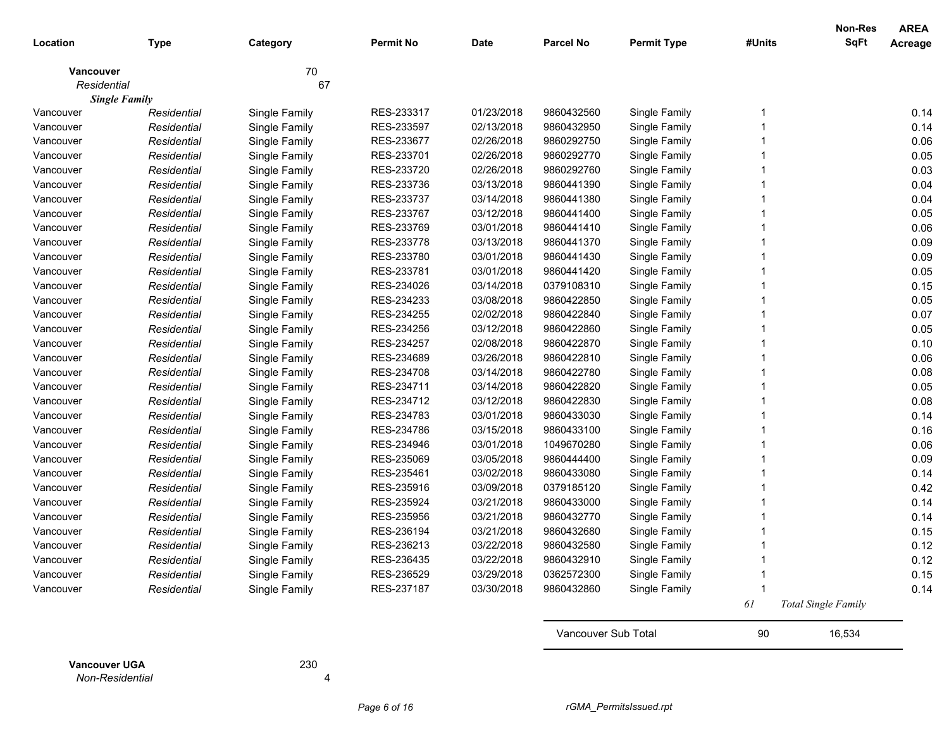| Location         | <b>Type</b>          | Category      | <b>Permit No</b> | Date       | <b>Parcel No</b>    | <b>Permit Type</b> | #Units | <b>Non-Res</b><br><b>SqFt</b> | <b>AREA</b><br><b>Acreage</b> |
|------------------|----------------------|---------------|------------------|------------|---------------------|--------------------|--------|-------------------------------|-------------------------------|
| <b>Vancouver</b> |                      | 70            |                  |            |                     |                    |        |                               |                               |
| Residential      |                      | 67            |                  |            |                     |                    |        |                               |                               |
|                  | <b>Single Family</b> |               |                  |            |                     |                    |        |                               |                               |
| Vancouver        | Residential          | Single Family | RES-233317       | 01/23/2018 | 9860432560          | Single Family      |        |                               | 0.14                          |
| Vancouver        | Residential          | Single Family | RES-233597       | 02/13/2018 | 9860432950          | Single Family      |        |                               | 0.14                          |
| Vancouver        | Residential          | Single Family | RES-233677       | 02/26/2018 | 9860292750          | Single Family      |        |                               | 0.06                          |
| Vancouver        | Residential          | Single Family | RES-233701       | 02/26/2018 | 9860292770          | Single Family      |        |                               | 0.05                          |
| Vancouver        | Residential          | Single Family | RES-233720       | 02/26/2018 | 9860292760          | Single Family      |        |                               | 0.03                          |
| Vancouver        | Residential          | Single Family | RES-233736       | 03/13/2018 | 9860441390          | Single Family      |        |                               | 0.04                          |
| Vancouver        | Residential          | Single Family | RES-233737       | 03/14/2018 | 9860441380          | Single Family      |        |                               | 0.04                          |
| Vancouver        | Residential          | Single Family | RES-233767       | 03/12/2018 | 9860441400          | Single Family      |        |                               | 0.05                          |
| Vancouver        | Residential          | Single Family | RES-233769       | 03/01/2018 | 9860441410          | Single Family      |        |                               | 0.06                          |
| Vancouver        | Residential          | Single Family | RES-233778       | 03/13/2018 | 9860441370          | Single Family      |        |                               | 0.09                          |
| Vancouver        | Residential          | Single Family | RES-233780       | 03/01/2018 | 9860441430          | Single Family      |        |                               | 0.09                          |
| Vancouver        | Residential          | Single Family | RES-233781       | 03/01/2018 | 9860441420          | Single Family      |        |                               | 0.05                          |
| Vancouver        | Residential          | Single Family | RES-234026       | 03/14/2018 | 0379108310          | Single Family      |        |                               | 0.15                          |
| Vancouver        | Residential          | Single Family | RES-234233       | 03/08/2018 | 9860422850          | Single Family      |        |                               | 0.05                          |
| Vancouver        | Residential          | Single Family | RES-234255       | 02/02/2018 | 9860422840          | Single Family      |        |                               | 0.07                          |
| Vancouver        | Residential          | Single Family | RES-234256       | 03/12/2018 | 9860422860          | Single Family      |        |                               | 0.05                          |
| Vancouver        | Residential          | Single Family | RES-234257       | 02/08/2018 | 9860422870          | Single Family      |        |                               | 0.10                          |
| Vancouver        | Residential          | Single Family | RES-234689       | 03/26/2018 | 9860422810          | Single Family      |        |                               | 0.06                          |
| Vancouver        | Residential          | Single Family | RES-234708       | 03/14/2018 | 9860422780          | Single Family      |        |                               | 0.08                          |
| Vancouver        | Residential          | Single Family | RES-234711       | 03/14/2018 | 9860422820          | Single Family      |        |                               | 0.05                          |
| Vancouver        | Residential          | Single Family | RES-234712       | 03/12/2018 | 9860422830          | Single Family      |        |                               | 0.08                          |
| Vancouver        | Residential          | Single Family | RES-234783       | 03/01/2018 | 9860433030          | Single Family      |        |                               | 0.14                          |
| Vancouver        | Residential          | Single Family | RES-234786       | 03/15/2018 | 9860433100          | Single Family      |        |                               | 0.16                          |
| Vancouver        | Residential          | Single Family | RES-234946       | 03/01/2018 | 1049670280          | Single Family      |        |                               | 0.06                          |
| Vancouver        | Residential          | Single Family | RES-235069       | 03/05/2018 | 9860444400          | Single Family      |        |                               | 0.09                          |
| Vancouver        | Residential          | Single Family | RES-235461       | 03/02/2018 | 9860433080          | Single Family      |        |                               | 0.14                          |
| Vancouver        | Residential          | Single Family | RES-235916       | 03/09/2018 | 0379185120          | Single Family      |        |                               | 0.42                          |
| Vancouver        | Residential          | Single Family | RES-235924       | 03/21/2018 | 9860433000          | Single Family      |        |                               | 0.14                          |
| Vancouver        | Residential          | Single Family | RES-235956       | 03/21/2018 | 9860432770          | Single Family      |        |                               | 0.14                          |
| Vancouver        | Residential          | Single Family | RES-236194       | 03/21/2018 | 9860432680          | Single Family      |        |                               | 0.15                          |
| Vancouver        | Residential          | Single Family | RES-236213       | 03/22/2018 | 9860432580          | Single Family      |        |                               | 0.12                          |
| Vancouver        | Residential          | Single Family | RES-236435       | 03/22/2018 | 9860432910          | Single Family      |        |                               | 0.12                          |
| Vancouver        | Residential          | Single Family | RES-236529       | 03/29/2018 | 0362572300          | Single Family      |        |                               | 0.15                          |
| Vancouver        | Residential          | Single Family | RES-237187       | 03/30/2018 | 9860432860          | Single Family      | -1     |                               | 0.14                          |
|                  |                      |               |                  |            |                     |                    | 61     | <b>Total Single Family</b>    |                               |
|                  |                      |               |                  |            | Vancouver Sub Total |                    | 90     | 16,534                        |                               |
| Vancouver UGA    |                      | 230           |                  |            |                     |                    |        |                               |                               |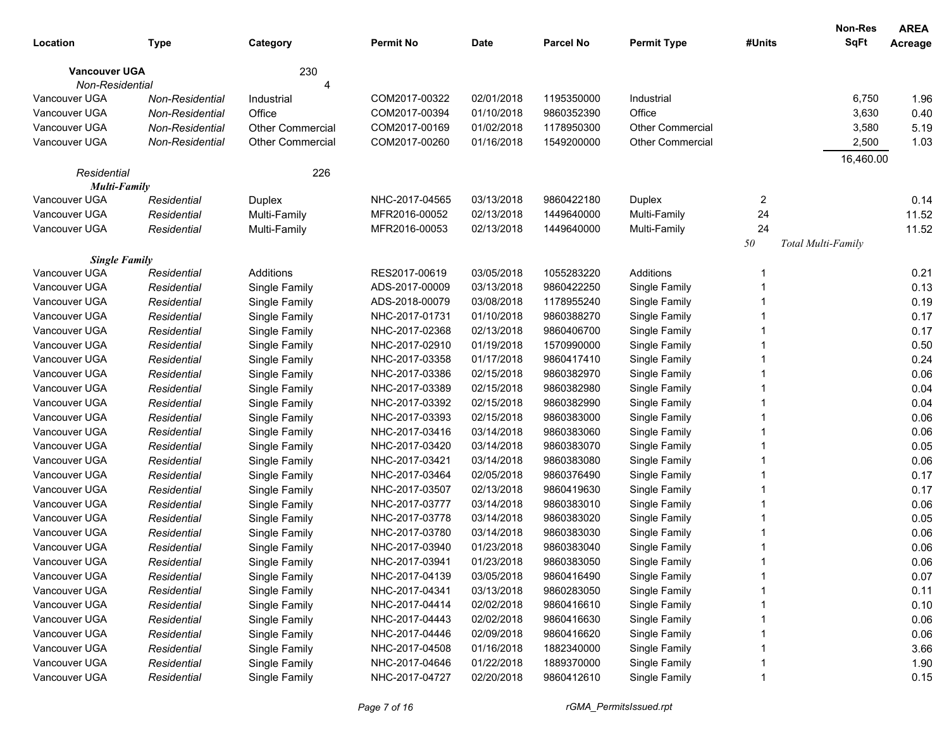|                      |                 |                         |                  |             |                  |                         |           | Non-Res                   | <b>AREA</b> |
|----------------------|-----------------|-------------------------|------------------|-------------|------------------|-------------------------|-----------|---------------------------|-------------|
| Location             | <b>Type</b>     | Category                | <b>Permit No</b> | <b>Date</b> | <b>Parcel No</b> | <b>Permit Type</b>      | #Units    | <b>SqFt</b>               | Acreage     |
| <b>Vancouver UGA</b> |                 | 230                     |                  |             |                  |                         |           |                           |             |
| Non-Residential      |                 |                         |                  |             |                  |                         |           |                           |             |
| Vancouver UGA        | Non-Residential | Industrial              | COM2017-00322    | 02/01/2018  | 1195350000       | Industrial              |           | 6,750                     | 1.96        |
| Vancouver UGA        | Non-Residential | Office                  | COM2017-00394    | 01/10/2018  | 9860352390       | Office                  |           | 3,630                     | 0.40        |
| Vancouver UGA        | Non-Residential | <b>Other Commercial</b> | COM2017-00169    | 01/02/2018  | 1178950300       | <b>Other Commercial</b> |           | 3,580                     | 5.19        |
| Vancouver UGA        | Non-Residential | <b>Other Commercial</b> | COM2017-00260    | 01/16/2018  | 1549200000       | <b>Other Commercial</b> |           | 2,500                     | 1.03        |
|                      |                 |                         |                  |             |                  |                         |           | 16,460.00                 |             |
| Residential          |                 | 226                     |                  |             |                  |                         |           |                           |             |
| <b>Multi-Family</b>  |                 |                         |                  |             |                  |                         |           |                           |             |
| Vancouver UGA        | Residential     | Duplex                  | NHC-2017-04565   | 03/13/2018  | 9860422180       | Duplex                  | 2         |                           | 0.14        |
| Vancouver UGA        | Residential     | Multi-Family            | MFR2016-00052    | 02/13/2018  | 1449640000       | Multi-Family            | 24        |                           | 11.52       |
| Vancouver UGA        | Residential     | Multi-Family            | MFR2016-00053    | 02/13/2018  | 1449640000       | Multi-Family            | 24        |                           | 11.52       |
|                      |                 |                         |                  |             |                  |                         | $5\theta$ | <b>Total Multi-Family</b> |             |
| <b>Single Family</b> |                 |                         |                  |             |                  |                         |           |                           |             |
| Vancouver UGA        | Residential     | Additions               | RES2017-00619    | 03/05/2018  | 1055283220       | Additions               |           |                           | 0.21        |
| Vancouver UGA        | Residential     | Single Family           | ADS-2017-00009   | 03/13/2018  | 9860422250       | Single Family           |           |                           | 0.13        |
| Vancouver UGA        | Residential     | Single Family           | ADS-2018-00079   | 03/08/2018  | 1178955240       | Single Family           |           |                           | 0.19        |
| Vancouver UGA        | Residential     | Single Family           | NHC-2017-01731   | 01/10/2018  | 9860388270       | Single Family           |           |                           | 0.17        |
| Vancouver UGA        | Residential     | Single Family           | NHC-2017-02368   | 02/13/2018  | 9860406700       | Single Family           |           |                           | 0.17        |
| Vancouver UGA        | Residential     | Single Family           | NHC-2017-02910   | 01/19/2018  | 1570990000       | Single Family           |           |                           | 0.50        |
| Vancouver UGA        | Residential     | Single Family           | NHC-2017-03358   | 01/17/2018  | 9860417410       | Single Family           |           |                           | 0.24        |
| Vancouver UGA        | Residential     | Single Family           | NHC-2017-03386   | 02/15/2018  | 9860382970       | Single Family           |           |                           | 0.06        |
| Vancouver UGA        | Residential     | Single Family           | NHC-2017-03389   | 02/15/2018  | 9860382980       | Single Family           |           |                           | 0.04        |
| Vancouver UGA        | Residential     | Single Family           | NHC-2017-03392   | 02/15/2018  | 9860382990       | Single Family           |           |                           | 0.04        |
| Vancouver UGA        | Residential     | Single Family           | NHC-2017-03393   | 02/15/2018  | 9860383000       | Single Family           |           |                           | 0.06        |
| Vancouver UGA        | Residential     | Single Family           | NHC-2017-03416   | 03/14/2018  | 9860383060       | Single Family           |           |                           | 0.06        |
| Vancouver UGA        | Residential     | Single Family           | NHC-2017-03420   | 03/14/2018  | 9860383070       | Single Family           |           |                           | 0.05        |
| Vancouver UGA        | Residential     | Single Family           | NHC-2017-03421   | 03/14/2018  | 9860383080       | Single Family           |           |                           | 0.06        |
| Vancouver UGA        | Residential     | Single Family           | NHC-2017-03464   | 02/05/2018  | 9860376490       | Single Family           |           |                           | 0.17        |
| Vancouver UGA        | Residential     | Single Family           | NHC-2017-03507   | 02/13/2018  | 9860419630       | Single Family           |           |                           | 0.17        |
| Vancouver UGA        | Residential     | Single Family           | NHC-2017-03777   | 03/14/2018  | 9860383010       | Single Family           |           |                           | 0.06        |
| Vancouver UGA        | Residential     | Single Family           | NHC-2017-03778   | 03/14/2018  | 9860383020       | Single Family           |           |                           | 0.05        |
| Vancouver UGA        | Residential     | Single Family           | NHC-2017-03780   | 03/14/2018  | 9860383030       | Single Family           |           |                           | 0.06        |
| Vancouver UGA        | Residential     | Single Family           | NHC-2017-03940   | 01/23/2018  | 9860383040       | Single Family           |           |                           | 0.06        |
| Vancouver UGA        | Residential     | Single Family           | NHC-2017-03941   | 01/23/2018  | 9860383050       | Single Family           |           |                           | 0.06        |
| Vancouver UGA        | Residential     | Single Family           | NHC-2017-04139   | 03/05/2018  | 9860416490       | Single Family           |           |                           | 0.07        |
| Vancouver UGA        | Residential     | Single Family           | NHC-2017-04341   | 03/13/2018  | 9860283050       | Single Family           |           |                           | 0.11        |
| Vancouver UGA        | Residential     | Single Family           | NHC-2017-04414   | 02/02/2018  | 9860416610       | Single Family           |           |                           | 0.10        |
| Vancouver UGA        | Residential     | Single Family           | NHC-2017-04443   | 02/02/2018  | 9860416630       | Single Family           |           |                           | 0.06        |
| Vancouver UGA        | Residential     | Single Family           | NHC-2017-04446   | 02/09/2018  | 9860416620       | Single Family           |           |                           | 0.06        |
| Vancouver UGA        | Residential     | Single Family           | NHC-2017-04508   | 01/16/2018  | 1882340000       | Single Family           |           |                           | 3.66        |
| Vancouver UGA        | Residential     | Single Family           | NHC-2017-04646   | 01/22/2018  | 1889370000       | Single Family           |           |                           | 1.90        |
| Vancouver UGA        | Residential     | Single Family           | NHC-2017-04727   | 02/20/2018  | 9860412610       | Single Family           |           |                           | 0.15        |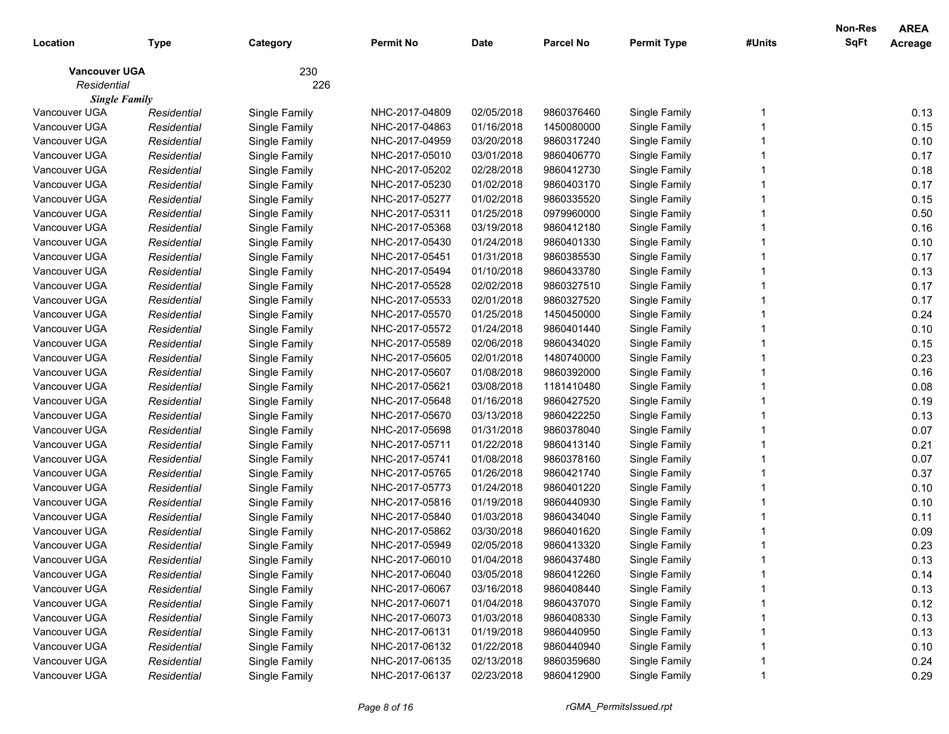|                      |             |               |                |             |                  |                    |        | Non-Res     | <b>AREA</b> |
|----------------------|-------------|---------------|----------------|-------------|------------------|--------------------|--------|-------------|-------------|
| Location             | Type        | Category      | Permit No      | <b>Date</b> | <b>Parcel No</b> | <b>Permit Type</b> | #Units | <b>SqFt</b> | Acreage     |
| <b>Vancouver UGA</b> |             | 230           |                |             |                  |                    |        |             |             |
| Residential          |             | 226           |                |             |                  |                    |        |             |             |
| <b>Single Family</b> |             |               |                |             |                  |                    |        |             |             |
| Vancouver UGA        | Residential | Single Family | NHC-2017-04809 | 02/05/2018  | 9860376460       | Single Family      |        |             | 0.13        |
| Vancouver UGA        | Residential | Single Family | NHC-2017-04863 | 01/16/2018  | 1450080000       | Single Family      |        |             | 0.15        |
| Vancouver UGA        | Residential | Single Family | NHC-2017-04959 | 03/20/2018  | 9860317240       | Single Family      |        |             | 0.10        |
| Vancouver UGA        | Residential | Single Family | NHC-2017-05010 | 03/01/2018  | 9860406770       | Single Family      |        |             | 0.17        |
| Vancouver UGA        | Residential | Single Family | NHC-2017-05202 | 02/28/2018  | 9860412730       | Single Family      |        |             | 0.18        |
| Vancouver UGA        | Residential | Single Family | NHC-2017-05230 | 01/02/2018  | 9860403170       | Single Family      |        |             | 0.17        |
| Vancouver UGA        | Residential | Single Family | NHC-2017-05277 | 01/02/2018  | 9860335520       | Single Family      |        |             | 0.15        |
| Vancouver UGA        | Residential | Single Family | NHC-2017-05311 | 01/25/2018  | 0979960000       | Single Family      |        |             | 0.50        |
| Vancouver UGA        | Residential | Single Family | NHC-2017-05368 | 03/19/2018  | 9860412180       | Single Family      |        |             | 0.16        |
| Vancouver UGA        | Residential | Single Family | NHC-2017-05430 | 01/24/2018  | 9860401330       | Single Family      |        |             | 0.10        |
| Vancouver UGA        | Residential | Single Family | NHC-2017-05451 | 01/31/2018  | 9860385530       | Single Family      |        |             | 0.17        |
| Vancouver UGA        | Residential | Single Family | NHC-2017-05494 | 01/10/2018  | 9860433780       | Single Family      |        |             | 0.13        |
| Vancouver UGA        | Residential | Single Family | NHC-2017-05528 | 02/02/2018  | 9860327510       | Single Family      |        |             | 0.17        |
| Vancouver UGA        | Residential | Single Family | NHC-2017-05533 | 02/01/2018  | 9860327520       | Single Family      |        |             | 0.17        |
| Vancouver UGA        | Residential | Single Family | NHC-2017-05570 | 01/25/2018  | 1450450000       | Single Family      |        |             | 0.24        |
| Vancouver UGA        | Residential | Single Family | NHC-2017-05572 | 01/24/2018  | 9860401440       | Single Family      |        |             | 0.10        |
| Vancouver UGA        | Residential | Single Family | NHC-2017-05589 | 02/06/2018  | 9860434020       | Single Family      |        |             | 0.15        |
| Vancouver UGA        | Residential | Single Family | NHC-2017-05605 | 02/01/2018  | 1480740000       | Single Family      |        |             | 0.23        |
| Vancouver UGA        | Residential | Single Family | NHC-2017-05607 | 01/08/2018  | 9860392000       | Single Family      |        |             | 0.16        |
| Vancouver UGA        | Residential | Single Family | NHC-2017-05621 | 03/08/2018  | 1181410480       | Single Family      |        |             | 0.08        |
| Vancouver UGA        | Residential | Single Family | NHC-2017-05648 | 01/16/2018  | 9860427520       | Single Family      |        |             | 0.19        |
| Vancouver UGA        | Residential | Single Family | NHC-2017-05670 | 03/13/2018  | 9860422250       | Single Family      |        |             | 0.13        |
| Vancouver UGA        | Residential | Single Family | NHC-2017-05698 | 01/31/2018  | 9860378040       | Single Family      |        |             | 0.07        |
| Vancouver UGA        | Residential | Single Family | NHC-2017-05711 | 01/22/2018  | 9860413140       | Single Family      |        |             | 0.21        |
| Vancouver UGA        | Residential | Single Family | NHC-2017-05741 | 01/08/2018  | 9860378160       | Single Family      |        |             | 0.07        |
| Vancouver UGA        | Residential | Single Family | NHC-2017-05765 | 01/26/2018  | 9860421740       | Single Family      |        |             | 0.37        |
| Vancouver UGA        | Residential | Single Family | NHC-2017-05773 | 01/24/2018  | 9860401220       | Single Family      |        |             | 0.10        |
| Vancouver UGA        | Residential | Single Family | NHC-2017-05816 | 01/19/2018  | 9860440930       | Single Family      |        |             | 0.10        |
| Vancouver UGA        | Residential | Single Family | NHC-2017-05840 | 01/03/2018  | 9860434040       | Single Family      |        |             | 0.11        |
| Vancouver UGA        | Residential | Single Family | NHC-2017-05862 | 03/30/2018  | 9860401620       | Single Family      |        |             | 0.09        |
| Vancouver UGA        | Residential | Single Family | NHC-2017-05949 | 02/05/2018  | 9860413320       | Single Family      |        |             | 0.23        |
| Vancouver UGA        | Residential | Single Family | NHC-2017-06010 | 01/04/2018  | 9860437480       | Single Family      |        |             | 0.13        |
| Vancouver UGA        | Residential | Single Family | NHC-2017-06040 | 03/05/2018  | 9860412260       | Single Family      |        |             | 0.14        |
| Vancouver UGA        | Residential | Single Family | NHC-2017-06067 | 03/16/2018  | 9860408440       | Single Family      |        |             | 0.13        |
| Vancouver UGA        | Residential | Single Family | NHC-2017-06071 | 01/04/2018  | 9860437070       | Single Family      |        |             | 0.12        |
| Vancouver UGA        | Residential | Single Family | NHC-2017-06073 | 01/03/2018  | 9860408330       | Single Family      |        |             | 0.13        |
| Vancouver UGA        | Residential | Single Family | NHC-2017-06131 | 01/19/2018  | 9860440950       | Single Family      |        |             | 0.13        |
| Vancouver UGA        | Residential | Single Family | NHC-2017-06132 | 01/22/2018  | 9860440940       | Single Family      |        |             | 0.10        |
| Vancouver UGA        | Residential | Single Family | NHC-2017-06135 | 02/13/2018  | 9860359680       | Single Family      |        |             | 0.24        |
| Vancouver UGA        | Residential | Single Family | NHC-2017-06137 | 02/23/2018  | 9860412900       | Single Family      |        |             | 0.29        |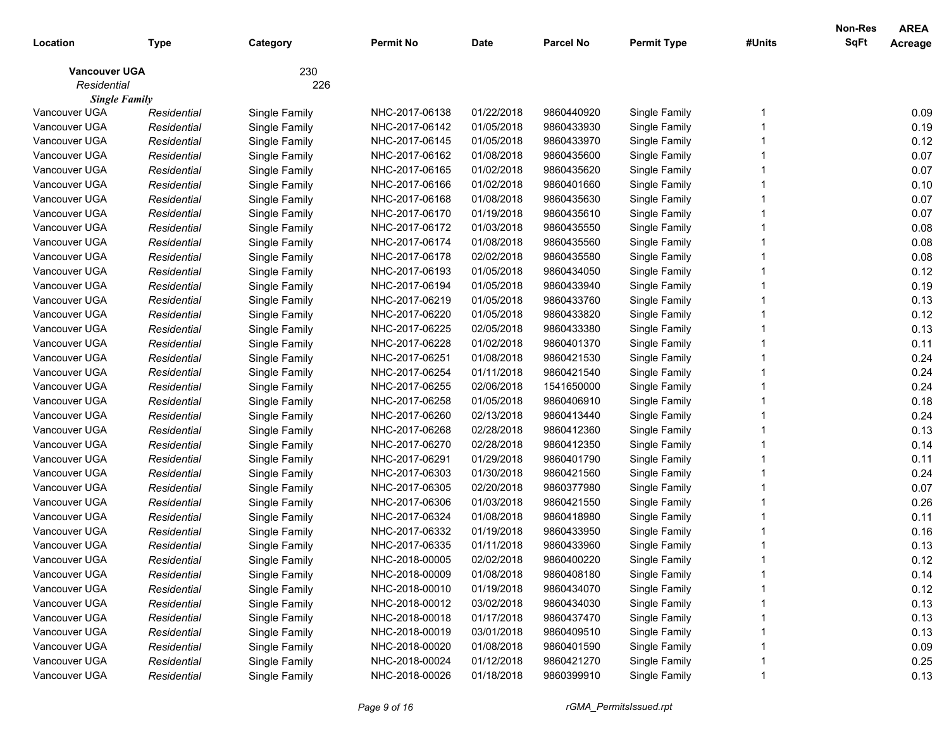|                      |             |               |                  |             |                  |                    |        | <b>Non-Res</b> | <b>AREA</b> |
|----------------------|-------------|---------------|------------------|-------------|------------------|--------------------|--------|----------------|-------------|
| Location             | Type        | Category      | <b>Permit No</b> | <b>Date</b> | <b>Parcel No</b> | <b>Permit Type</b> | #Units | <b>SqFt</b>    | Acreage     |
| <b>Vancouver UGA</b> |             | 230           |                  |             |                  |                    |        |                |             |
| Residential          |             | 226           |                  |             |                  |                    |        |                |             |
| <b>Single Family</b> |             |               |                  |             |                  |                    |        |                |             |
| Vancouver UGA        | Residential | Single Family | NHC-2017-06138   | 01/22/2018  | 9860440920       | Single Family      |        |                | 0.09        |
| Vancouver UGA        | Residential | Single Family | NHC-2017-06142   | 01/05/2018  | 9860433930       | Single Family      |        |                | 0.19        |
| Vancouver UGA        | Residential | Single Family | NHC-2017-06145   | 01/05/2018  | 9860433970       | Single Family      |        |                | 0.12        |
| Vancouver UGA        | Residential | Single Family | NHC-2017-06162   | 01/08/2018  | 9860435600       | Single Family      |        |                | 0.07        |
| Vancouver UGA        | Residential | Single Family | NHC-2017-06165   | 01/02/2018  | 9860435620       | Single Family      |        |                | 0.07        |
| Vancouver UGA        | Residential | Single Family | NHC-2017-06166   | 01/02/2018  | 9860401660       | Single Family      |        |                | 0.10        |
| Vancouver UGA        | Residential | Single Family | NHC-2017-06168   | 01/08/2018  | 9860435630       | Single Family      |        |                | 0.07        |
| Vancouver UGA        | Residential | Single Family | NHC-2017-06170   | 01/19/2018  | 9860435610       | Single Family      |        |                | 0.07        |
| Vancouver UGA        | Residential | Single Family | NHC-2017-06172   | 01/03/2018  | 9860435550       | Single Family      |        |                | 0.08        |
| Vancouver UGA        | Residential | Single Family | NHC-2017-06174   | 01/08/2018  | 9860435560       | Single Family      |        |                | 0.08        |
| Vancouver UGA        | Residential | Single Family | NHC-2017-06178   | 02/02/2018  | 9860435580       | Single Family      |        |                | 0.08        |
| Vancouver UGA        | Residential | Single Family | NHC-2017-06193   | 01/05/2018  | 9860434050       | Single Family      |        |                | 0.12        |
| Vancouver UGA        | Residential | Single Family | NHC-2017-06194   | 01/05/2018  | 9860433940       | Single Family      |        |                | 0.19        |
| Vancouver UGA        | Residential | Single Family | NHC-2017-06219   | 01/05/2018  | 9860433760       | Single Family      |        |                | 0.13        |
| Vancouver UGA        | Residential | Single Family | NHC-2017-06220   | 01/05/2018  | 9860433820       | Single Family      |        |                | 0.12        |
| Vancouver UGA        | Residential | Single Family | NHC-2017-06225   | 02/05/2018  | 9860433380       | Single Family      |        |                | 0.13        |
| Vancouver UGA        | Residential | Single Family | NHC-2017-06228   | 01/02/2018  | 9860401370       | Single Family      |        |                | 0.11        |
| Vancouver UGA        | Residential | Single Family | NHC-2017-06251   | 01/08/2018  | 9860421530       | Single Family      |        |                | 0.24        |
| Vancouver UGA        | Residential | Single Family | NHC-2017-06254   | 01/11/2018  | 9860421540       | Single Family      |        |                | 0.24        |
| Vancouver UGA        | Residential | Single Family | NHC-2017-06255   | 02/06/2018  | 1541650000       | Single Family      |        |                | 0.24        |
| Vancouver UGA        | Residential | Single Family | NHC-2017-06258   | 01/05/2018  | 9860406910       | Single Family      |        |                | 0.18        |
| Vancouver UGA        | Residential | Single Family | NHC-2017-06260   | 02/13/2018  | 9860413440       | Single Family      |        |                | 0.24        |
| Vancouver UGA        | Residential | Single Family | NHC-2017-06268   | 02/28/2018  | 9860412360       | Single Family      |        |                | 0.13        |
| Vancouver UGA        | Residential | Single Family | NHC-2017-06270   | 02/28/2018  | 9860412350       | Single Family      |        |                | 0.14        |
| Vancouver UGA        | Residential | Single Family | NHC-2017-06291   | 01/29/2018  | 9860401790       | Single Family      |        |                | 0.11        |
| Vancouver UGA        | Residential | Single Family | NHC-2017-06303   | 01/30/2018  | 9860421560       | Single Family      |        |                | 0.24        |
| Vancouver UGA        | Residential | Single Family | NHC-2017-06305   | 02/20/2018  | 9860377980       | Single Family      |        |                | 0.07        |
| Vancouver UGA        | Residential | Single Family | NHC-2017-06306   | 01/03/2018  | 9860421550       | Single Family      |        |                | 0.26        |
| Vancouver UGA        | Residential | Single Family | NHC-2017-06324   | 01/08/2018  | 9860418980       | Single Family      |        |                | 0.11        |
| Vancouver UGA        | Residential | Single Family | NHC-2017-06332   | 01/19/2018  | 9860433950       | Single Family      |        |                | 0.16        |
| Vancouver UGA        | Residential | Single Family | NHC-2017-06335   | 01/11/2018  | 9860433960       | Single Family      |        |                | 0.13        |
| Vancouver UGA        | Residential | Single Family | NHC-2018-00005   | 02/02/2018  | 9860400220       | Single Family      |        |                | 0.12        |
| Vancouver UGA        | Residential | Single Family | NHC-2018-00009   | 01/08/2018  | 9860408180       | Single Family      |        |                | 0.14        |
| Vancouver UGA        | Residential | Single Family | NHC-2018-00010   | 01/19/2018  | 9860434070       | Single Family      |        |                | 0.12        |
| Vancouver UGA        | Residential | Single Family | NHC-2018-00012   | 03/02/2018  | 9860434030       | Single Family      |        |                | 0.13        |
| Vancouver UGA        | Residential | Single Family | NHC-2018-00018   | 01/17/2018  | 9860437470       | Single Family      |        |                | 0.13        |
| Vancouver UGA        | Residential | Single Family | NHC-2018-00019   | 03/01/2018  | 9860409510       | Single Family      |        |                | 0.13        |
| Vancouver UGA        | Residential | Single Family | NHC-2018-00020   | 01/08/2018  | 9860401590       | Single Family      |        |                | 0.09        |
| Vancouver UGA        | Residential | Single Family | NHC-2018-00024   | 01/12/2018  | 9860421270       | Single Family      |        |                | 0.25        |
| Vancouver UGA        | Residential | Single Family | NHC-2018-00026   | 01/18/2018  | 9860399910       | Single Family      |        |                | 0.13        |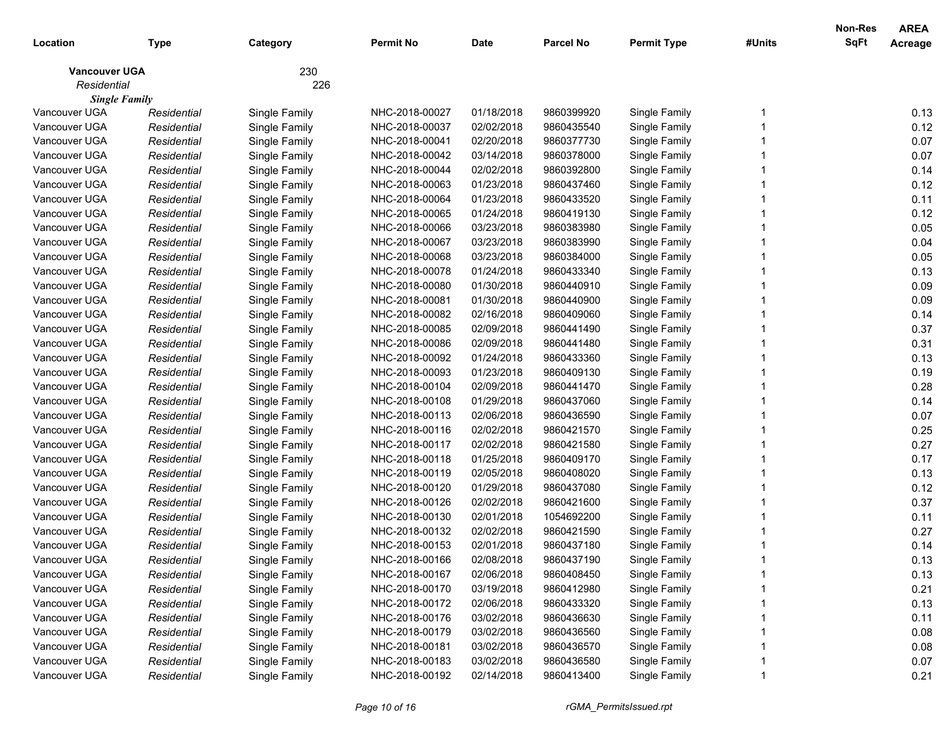|                      |             |               |                |             |                  |                    |        | Non-Res     | <b>AREA</b> |
|----------------------|-------------|---------------|----------------|-------------|------------------|--------------------|--------|-------------|-------------|
| Location             | Type        | Category      | Permit No      | <b>Date</b> | <b>Parcel No</b> | <b>Permit Type</b> | #Units | <b>SqFt</b> | Acreage     |
| <b>Vancouver UGA</b> |             | 230           |                |             |                  |                    |        |             |             |
| Residential          |             | 226           |                |             |                  |                    |        |             |             |
| <b>Single Family</b> |             |               |                |             |                  |                    |        |             |             |
| Vancouver UGA        | Residential | Single Family | NHC-2018-00027 | 01/18/2018  | 9860399920       | Single Family      |        |             | 0.13        |
| Vancouver UGA        | Residential | Single Family | NHC-2018-00037 | 02/02/2018  | 9860435540       | Single Family      |        |             | 0.12        |
| Vancouver UGA        | Residential | Single Family | NHC-2018-00041 | 02/20/2018  | 9860377730       | Single Family      |        |             | 0.07        |
| Vancouver UGA        | Residential | Single Family | NHC-2018-00042 | 03/14/2018  | 9860378000       | Single Family      |        |             | 0.07        |
| Vancouver UGA        | Residential | Single Family | NHC-2018-00044 | 02/02/2018  | 9860392800       | Single Family      |        |             | 0.14        |
| Vancouver UGA        | Residential | Single Family | NHC-2018-00063 | 01/23/2018  | 9860437460       | Single Family      |        |             | 0.12        |
| Vancouver UGA        | Residential | Single Family | NHC-2018-00064 | 01/23/2018  | 9860433520       | Single Family      |        |             | 0.11        |
| Vancouver UGA        | Residential | Single Family | NHC-2018-00065 | 01/24/2018  | 9860419130       | Single Family      |        |             | 0.12        |
| Vancouver UGA        | Residential | Single Family | NHC-2018-00066 | 03/23/2018  | 9860383980       | Single Family      |        |             | 0.05        |
| Vancouver UGA        | Residential | Single Family | NHC-2018-00067 | 03/23/2018  | 9860383990       | Single Family      |        |             | 0.04        |
| Vancouver UGA        | Residential | Single Family | NHC-2018-00068 | 03/23/2018  | 9860384000       | Single Family      |        |             | 0.05        |
| Vancouver UGA        | Residential | Single Family | NHC-2018-00078 | 01/24/2018  | 9860433340       | Single Family      |        |             | 0.13        |
| Vancouver UGA        | Residential | Single Family | NHC-2018-00080 | 01/30/2018  | 9860440910       | Single Family      |        |             | 0.09        |
| Vancouver UGA        | Residential | Single Family | NHC-2018-00081 | 01/30/2018  | 9860440900       | Single Family      |        |             | 0.09        |
| Vancouver UGA        | Residential | Single Family | NHC-2018-00082 | 02/16/2018  | 9860409060       | Single Family      |        |             | 0.14        |
| Vancouver UGA        | Residential | Single Family | NHC-2018-00085 | 02/09/2018  | 9860441490       | Single Family      |        |             | 0.37        |
| Vancouver UGA        | Residential | Single Family | NHC-2018-00086 | 02/09/2018  | 9860441480       | Single Family      |        |             | 0.31        |
| Vancouver UGA        | Residential | Single Family | NHC-2018-00092 | 01/24/2018  | 9860433360       | Single Family      |        |             | 0.13        |
| Vancouver UGA        | Residential | Single Family | NHC-2018-00093 | 01/23/2018  | 9860409130       | Single Family      |        |             | 0.19        |
| Vancouver UGA        | Residential | Single Family | NHC-2018-00104 | 02/09/2018  | 9860441470       | Single Family      |        |             | 0.28        |
| Vancouver UGA        | Residential | Single Family | NHC-2018-00108 | 01/29/2018  | 9860437060       | Single Family      |        |             | 0.14        |
| Vancouver UGA        | Residential | Single Family | NHC-2018-00113 | 02/06/2018  | 9860436590       | Single Family      |        |             | 0.07        |
| Vancouver UGA        | Residential | Single Family | NHC-2018-00116 | 02/02/2018  | 9860421570       | Single Family      |        |             | 0.25        |
| Vancouver UGA        | Residential | Single Family | NHC-2018-00117 | 02/02/2018  | 9860421580       | Single Family      |        |             | 0.27        |
| Vancouver UGA        | Residential | Single Family | NHC-2018-00118 | 01/25/2018  | 9860409170       | Single Family      |        |             | 0.17        |
| Vancouver UGA        | Residential | Single Family | NHC-2018-00119 | 02/05/2018  | 9860408020       | Single Family      |        |             | 0.13        |
| Vancouver UGA        | Residential | Single Family | NHC-2018-00120 | 01/29/2018  | 9860437080       | Single Family      |        |             | 0.12        |
| Vancouver UGA        | Residential | Single Family | NHC-2018-00126 | 02/02/2018  | 9860421600       | Single Family      |        |             | 0.37        |
| Vancouver UGA        | Residential | Single Family | NHC-2018-00130 | 02/01/2018  | 1054692200       | Single Family      |        |             | 0.11        |
| Vancouver UGA        | Residential | Single Family | NHC-2018-00132 | 02/02/2018  | 9860421590       | Single Family      |        |             | 0.27        |
| Vancouver UGA        | Residential | Single Family | NHC-2018-00153 | 02/01/2018  | 9860437180       | Single Family      |        |             | 0.14        |
| Vancouver UGA        | Residential | Single Family | NHC-2018-00166 | 02/08/2018  | 9860437190       | Single Family      |        |             | 0.13        |
| Vancouver UGA        | Residential | Single Family | NHC-2018-00167 | 02/06/2018  | 9860408450       | Single Family      |        |             | 0.13        |
| Vancouver UGA        | Residential | Single Family | NHC-2018-00170 | 03/19/2018  | 9860412980       | Single Family      |        |             | 0.21        |
| Vancouver UGA        | Residential | Single Family | NHC-2018-00172 | 02/06/2018  | 9860433320       | Single Family      |        |             | 0.13        |
| Vancouver UGA        | Residential | Single Family | NHC-2018-00176 | 03/02/2018  | 9860436630       | Single Family      |        |             | 0.11        |
| Vancouver UGA        | Residential | Single Family | NHC-2018-00179 | 03/02/2018  | 9860436560       | Single Family      |        |             | 0.08        |
| Vancouver UGA        | Residential | Single Family | NHC-2018-00181 | 03/02/2018  | 9860436570       | Single Family      |        |             | 0.08        |
| Vancouver UGA        | Residential | Single Family | NHC-2018-00183 | 03/02/2018  | 9860436580       | Single Family      |        |             | 0.07        |
| Vancouver UGA        | Residential | Single Family | NHC-2018-00192 | 02/14/2018  | 9860413400       | Single Family      |        |             | 0.21        |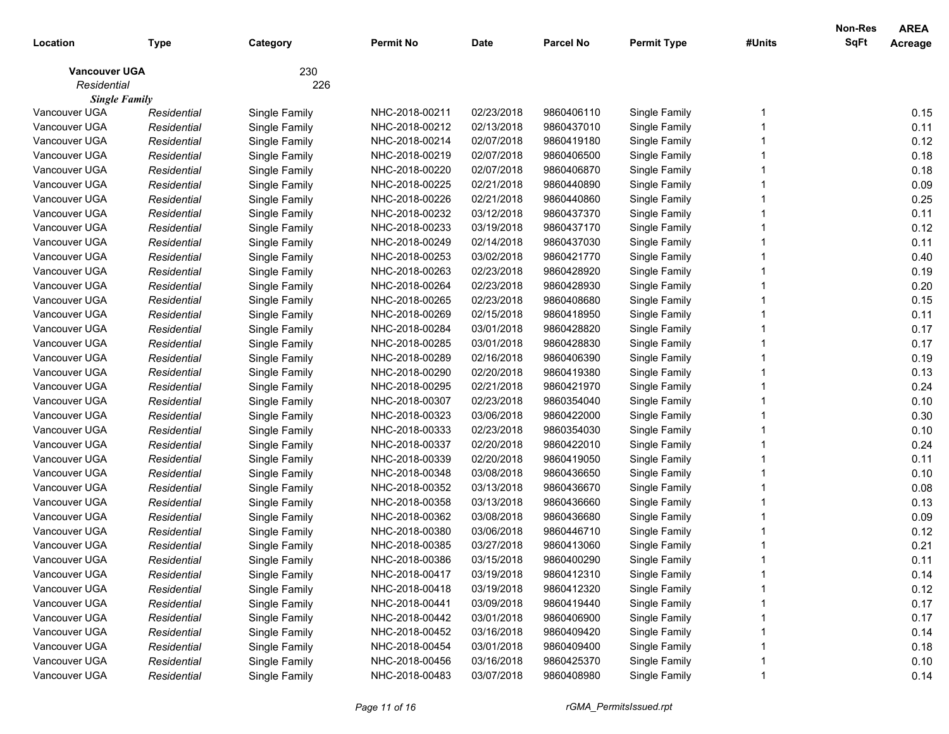|                      |             |               |                  |             |                  |                    |        | <b>Non-Res</b> | <b>AREA</b> |
|----------------------|-------------|---------------|------------------|-------------|------------------|--------------------|--------|----------------|-------------|
| Location             | Type        | Category      | <b>Permit No</b> | <b>Date</b> | <b>Parcel No</b> | <b>Permit Type</b> | #Units | <b>SqFt</b>    | Acreage     |
| <b>Vancouver UGA</b> |             | 230           |                  |             |                  |                    |        |                |             |
| Residential          |             | 226           |                  |             |                  |                    |        |                |             |
| <b>Single Family</b> |             |               |                  |             |                  |                    |        |                |             |
| Vancouver UGA        | Residential | Single Family | NHC-2018-00211   | 02/23/2018  | 9860406110       | Single Family      |        |                | 0.15        |
| Vancouver UGA        | Residential | Single Family | NHC-2018-00212   | 02/13/2018  | 9860437010       | Single Family      |        |                | 0.11        |
| Vancouver UGA        | Residential | Single Family | NHC-2018-00214   | 02/07/2018  | 9860419180       | Single Family      |        |                | 0.12        |
| Vancouver UGA        | Residential | Single Family | NHC-2018-00219   | 02/07/2018  | 9860406500       | Single Family      |        |                | 0.18        |
| Vancouver UGA        | Residential | Single Family | NHC-2018-00220   | 02/07/2018  | 9860406870       | Single Family      |        |                | 0.18        |
| Vancouver UGA        | Residential | Single Family | NHC-2018-00225   | 02/21/2018  | 9860440890       | Single Family      |        |                | 0.09        |
| Vancouver UGA        | Residential | Single Family | NHC-2018-00226   | 02/21/2018  | 9860440860       | Single Family      |        |                | 0.25        |
| Vancouver UGA        | Residential | Single Family | NHC-2018-00232   | 03/12/2018  | 9860437370       | Single Family      |        |                | 0.11        |
| Vancouver UGA        | Residential | Single Family | NHC-2018-00233   | 03/19/2018  | 9860437170       | Single Family      |        |                | 0.12        |
| Vancouver UGA        | Residential | Single Family | NHC-2018-00249   | 02/14/2018  | 9860437030       | Single Family      |        |                | 0.11        |
| Vancouver UGA        | Residential | Single Family | NHC-2018-00253   | 03/02/2018  | 9860421770       | Single Family      |        |                | 0.40        |
| Vancouver UGA        | Residential | Single Family | NHC-2018-00263   | 02/23/2018  | 9860428920       | Single Family      |        |                | 0.19        |
| Vancouver UGA        | Residential | Single Family | NHC-2018-00264   | 02/23/2018  | 9860428930       | Single Family      |        |                | 0.20        |
| Vancouver UGA        | Residential | Single Family | NHC-2018-00265   | 02/23/2018  | 9860408680       | Single Family      |        |                | 0.15        |
| Vancouver UGA        | Residential | Single Family | NHC-2018-00269   | 02/15/2018  | 9860418950       | Single Family      |        |                | 0.11        |
| Vancouver UGA        | Residential | Single Family | NHC-2018-00284   | 03/01/2018  | 9860428820       | Single Family      |        |                | 0.17        |
| Vancouver UGA        | Residential | Single Family | NHC-2018-00285   | 03/01/2018  | 9860428830       | Single Family      |        |                | 0.17        |
| Vancouver UGA        | Residential | Single Family | NHC-2018-00289   | 02/16/2018  | 9860406390       | Single Family      |        |                | 0.19        |
| Vancouver UGA        | Residential | Single Family | NHC-2018-00290   | 02/20/2018  | 9860419380       | Single Family      |        |                | 0.13        |
| Vancouver UGA        | Residential | Single Family | NHC-2018-00295   | 02/21/2018  | 9860421970       | Single Family      |        |                | 0.24        |
| Vancouver UGA        | Residential | Single Family | NHC-2018-00307   | 02/23/2018  | 9860354040       | Single Family      |        |                | 0.10        |
| Vancouver UGA        | Residential | Single Family | NHC-2018-00323   | 03/06/2018  | 9860422000       | Single Family      |        |                | 0.30        |
| Vancouver UGA        | Residential | Single Family | NHC-2018-00333   | 02/23/2018  | 9860354030       | Single Family      |        |                | 0.10        |
| Vancouver UGA        | Residential | Single Family | NHC-2018-00337   | 02/20/2018  | 9860422010       | Single Family      |        |                | 0.24        |
| Vancouver UGA        | Residential | Single Family | NHC-2018-00339   | 02/20/2018  | 9860419050       | Single Family      |        |                | 0.11        |
| Vancouver UGA        | Residential | Single Family | NHC-2018-00348   | 03/08/2018  | 9860436650       | Single Family      |        |                | 0.10        |
| Vancouver UGA        | Residential | Single Family | NHC-2018-00352   | 03/13/2018  | 9860436670       | Single Family      |        |                | 0.08        |
| Vancouver UGA        | Residential | Single Family | NHC-2018-00358   | 03/13/2018  | 9860436660       | Single Family      |        |                | 0.13        |
| Vancouver UGA        | Residential | Single Family | NHC-2018-00362   | 03/08/2018  | 9860436680       | Single Family      |        |                | 0.09        |
| Vancouver UGA        | Residential | Single Family | NHC-2018-00380   | 03/06/2018  | 9860446710       | Single Family      |        |                | 0.12        |
| Vancouver UGA        | Residential | Single Family | NHC-2018-00385   | 03/27/2018  | 9860413060       | Single Family      |        |                | 0.21        |
| Vancouver UGA        | Residential | Single Family | NHC-2018-00386   | 03/15/2018  | 9860400290       | Single Family      |        |                | 0.11        |
| Vancouver UGA        | Residential | Single Family | NHC-2018-00417   | 03/19/2018  | 9860412310       | Single Family      |        |                | 0.14        |
| Vancouver UGA        | Residential | Single Family | NHC-2018-00418   | 03/19/2018  | 9860412320       | Single Family      |        |                | 0.12        |
| Vancouver UGA        | Residential | Single Family | NHC-2018-00441   | 03/09/2018  | 9860419440       | Single Family      |        |                | 0.17        |
| Vancouver UGA        | Residential | Single Family | NHC-2018-00442   | 03/01/2018  | 9860406900       | Single Family      |        |                | 0.17        |
| Vancouver UGA        | Residential | Single Family | NHC-2018-00452   | 03/16/2018  | 9860409420       | Single Family      |        |                | 0.14        |
| Vancouver UGA        | Residential | Single Family | NHC-2018-00454   | 03/01/2018  | 9860409400       | Single Family      |        |                | 0.18        |
| Vancouver UGA        | Residential | Single Family | NHC-2018-00456   | 03/16/2018  | 9860425370       | Single Family      |        |                | 0.10        |
| Vancouver UGA        | Residential | Single Family | NHC-2018-00483   | 03/07/2018  | 9860408980       | Single Family      |        |                | 0.14        |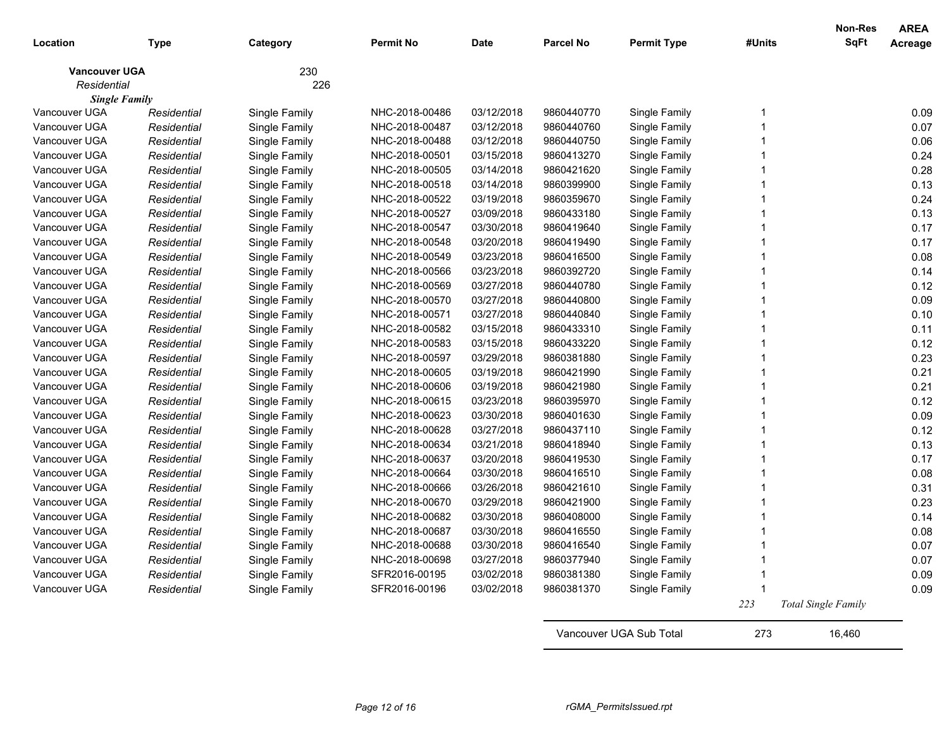| Location                            | Type        | Category      | <b>Permit No</b> | Date       | <b>Parcel No</b> | <b>Permit Type</b>      | #Units         | Non-Res<br><b>SqFt</b>     | <b>AREA</b><br>Acreage |
|-------------------------------------|-------------|---------------|------------------|------------|------------------|-------------------------|----------------|----------------------------|------------------------|
| <b>Vancouver UGA</b><br>Residential |             | 230<br>226    |                  |            |                  |                         |                |                            |                        |
| <b>Single Family</b>                |             |               |                  |            |                  |                         |                |                            |                        |
| Vancouver UGA                       | Residential | Single Family | NHC-2018-00486   | 03/12/2018 | 9860440770       | Single Family           | $\mathbf 1$    |                            | 0.09                   |
| Vancouver UGA                       | Residential | Single Family | NHC-2018-00487   | 03/12/2018 | 9860440760       | Single Family           | $\mathbf{1}$   |                            | 0.07                   |
| Vancouver UGA                       | Residential | Single Family | NHC-2018-00488   | 03/12/2018 | 9860440750       | Single Family           | $\overline{1}$ |                            | 0.06                   |
| Vancouver UGA                       | Residential | Single Family | NHC-2018-00501   | 03/15/2018 | 9860413270       | Single Family           | -1             |                            | 0.24                   |
| Vancouver UGA                       | Residential | Single Family | NHC-2018-00505   | 03/14/2018 | 9860421620       | Single Family           | $\overline{1}$ |                            | 0.28                   |
| Vancouver UGA                       | Residential | Single Family | NHC-2018-00518   | 03/14/2018 | 9860399900       | Single Family           | $\mathbf{1}$   |                            | 0.13                   |
| Vancouver UGA                       | Residential | Single Family | NHC-2018-00522   | 03/19/2018 | 9860359670       | Single Family           | $\overline{1}$ |                            | 0.24                   |
| Vancouver UGA                       | Residential | Single Family | NHC-2018-00527   | 03/09/2018 | 9860433180       | Single Family           | $\overline{1}$ |                            | 0.13                   |
| Vancouver UGA                       | Residential | Single Family | NHC-2018-00547   | 03/30/2018 | 9860419640       | Single Family           | $\mathbf{1}$   |                            | 0.17                   |
| Vancouver UGA                       | Residential | Single Family | NHC-2018-00548   | 03/20/2018 | 9860419490       | Single Family           | $\mathbf{1}$   |                            | 0.17                   |
| Vancouver UGA                       | Residential | Single Family | NHC-2018-00549   | 03/23/2018 | 9860416500       | Single Family           | $\overline{1}$ |                            | 0.08                   |
| Vancouver UGA                       | Residential | Single Family | NHC-2018-00566   | 03/23/2018 | 9860392720       | Single Family           | $\overline{1}$ |                            | 0.14                   |
| Vancouver UGA                       | Residential | Single Family | NHC-2018-00569   | 03/27/2018 | 9860440780       | Single Family           | $\mathbf{1}$   |                            | 0.12                   |
| Vancouver UGA                       | Residential | Single Family | NHC-2018-00570   | 03/27/2018 | 9860440800       | Single Family           | $\overline{1}$ |                            | 0.09                   |
| Vancouver UGA                       | Residential | Single Family | NHC-2018-00571   | 03/27/2018 | 9860440840       | Single Family           | $\overline{1}$ |                            | 0.10                   |
| Vancouver UGA                       | Residential | Single Family | NHC-2018-00582   | 03/15/2018 | 9860433310       | Single Family           | $\mathbf 1$    |                            | 0.11                   |
| Vancouver UGA                       | Residential | Single Family | NHC-2018-00583   | 03/15/2018 | 9860433220       | Single Family           | $\mathbf{1}$   |                            | 0.12                   |
| Vancouver UGA                       | Residential | Single Family | NHC-2018-00597   | 03/29/2018 | 9860381880       | Single Family           | $\overline{1}$ |                            | 0.23                   |
| Vancouver UGA                       | Residential | Single Family | NHC-2018-00605   | 03/19/2018 | 9860421990       | Single Family           | $\overline{1}$ |                            | 0.21                   |
| Vancouver UGA                       | Residential | Single Family | NHC-2018-00606   | 03/19/2018 | 9860421980       | Single Family           | $\overline{1}$ |                            | 0.21                   |
| Vancouver UGA                       | Residential | Single Family | NHC-2018-00615   | 03/23/2018 | 9860395970       | Single Family           | $\mathbf{1}$   |                            | 0.12                   |
| Vancouver UGA                       | Residential | Single Family | NHC-2018-00623   | 03/30/2018 | 9860401630       | Single Family           | $\overline{1}$ |                            | 0.09                   |
| Vancouver UGA                       | Residential | Single Family | NHC-2018-00628   | 03/27/2018 | 9860437110       | Single Family           | $\overline{1}$ |                            | 0.12                   |
| Vancouver UGA                       | Residential | Single Family | NHC-2018-00634   | 03/21/2018 | 9860418940       | Single Family           | $\mathbf{1}$   |                            | 0.13                   |
| Vancouver UGA                       | Residential | Single Family | NHC-2018-00637   | 03/20/2018 | 9860419530       | Single Family           | $\overline{1}$ |                            | 0.17                   |
| Vancouver UGA                       | Residential | Single Family | NHC-2018-00664   | 03/30/2018 | 9860416510       | Single Family           | $\overline{1}$ |                            | 0.08                   |
| Vancouver UGA                       | Residential | Single Family | NHC-2018-00666   | 03/26/2018 | 9860421610       | Single Family           | $\overline{1}$ |                            | 0.31                   |
| Vancouver UGA                       | Residential | Single Family | NHC-2018-00670   | 03/29/2018 | 9860421900       | Single Family           | $\mathbf{1}$   |                            | 0.23                   |
| Vancouver UGA                       | Residential | Single Family | NHC-2018-00682   | 03/30/2018 | 9860408000       | Single Family           | $\overline{1}$ |                            | 0.14                   |
| Vancouver UGA                       | Residential | Single Family | NHC-2018-00687   | 03/30/2018 | 9860416550       | Single Family           | 1              |                            | 0.08                   |
| Vancouver UGA                       | Residential | Single Family | NHC-2018-00688   | 03/30/2018 | 9860416540       | Single Family           | $\overline{1}$ |                            | 0.07                   |
| Vancouver UGA                       | Residential | Single Family | NHC-2018-00698   | 03/27/2018 | 9860377940       | Single Family           | $\mathbf{1}$   |                            | 0.07                   |
| Vancouver UGA                       | Residential | Single Family | SFR2016-00195    | 03/02/2018 | 9860381380       | Single Family           | $\overline{1}$ |                            | 0.09                   |
| Vancouver UGA                       | Residential | Single Family | SFR2016-00196    | 03/02/2018 | 9860381370       | Single Family           | $\overline{1}$ |                            | 0.09                   |
|                                     |             |               |                  |            |                  |                         | 223            | <b>Total Single Family</b> |                        |
|                                     |             |               |                  |            |                  | Vancouver UGA Sub Total | 273            | 16,460                     |                        |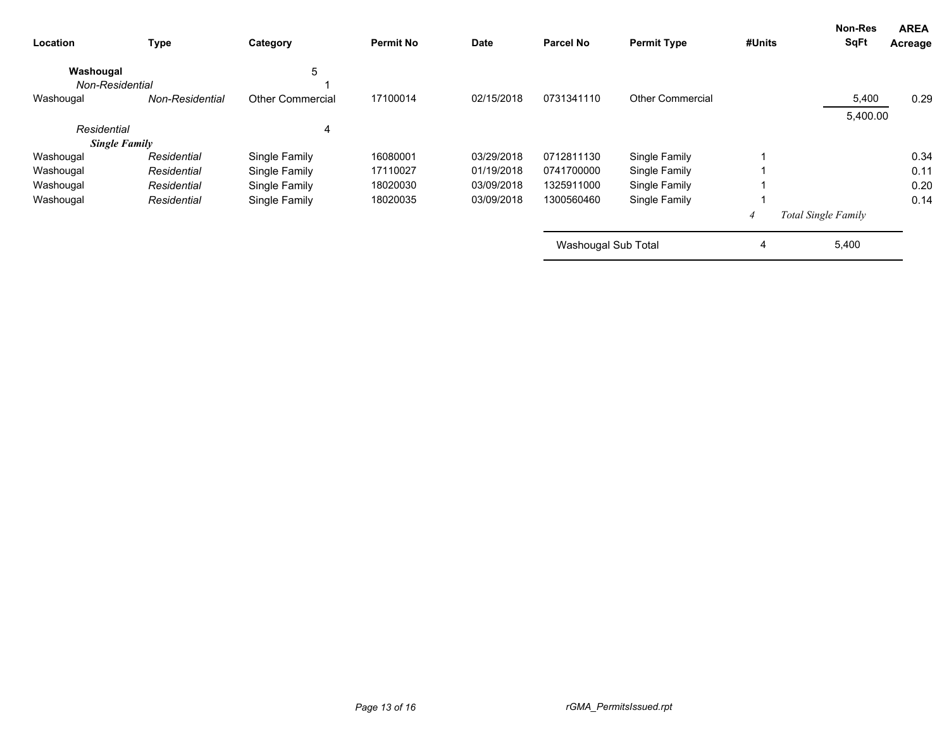| Location                     | <b>Type</b>     | Category                | <b>Permit No</b> | <b>Date</b> | <b>Parcel No</b>    | <b>Permit Type</b>      | #Units | <b>Non-Res</b><br><b>SqFt</b> | <b>AREA</b><br>Acreage |
|------------------------------|-----------------|-------------------------|------------------|-------------|---------------------|-------------------------|--------|-------------------------------|------------------------|
| Washougal<br>Non-Residential |                 | 5                       |                  |             |                     |                         |        |                               |                        |
| Washougal                    | Non-Residential | <b>Other Commercial</b> | 17100014         | 02/15/2018  | 0731341110          | <b>Other Commercial</b> |        | 5,400                         | 0.29                   |
|                              |                 |                         |                  |             |                     |                         |        | 5,400.00                      |                        |
| Residential                  |                 | 4                       |                  |             |                     |                         |        |                               |                        |
| <b>Single Family</b>         |                 |                         |                  |             |                     |                         |        |                               |                        |
| Washougal                    | Residential     | Single Family           | 16080001         | 03/29/2018  | 0712811130          | Single Family           |        |                               | 0.34                   |
| Washougal                    | Residential     | Single Family           | 17110027         | 01/19/2018  | 0741700000          | Single Family           |        |                               | 0.11                   |
| Washougal                    | Residential     | Single Family           | 18020030         | 03/09/2018  | 1325911000          | Single Family           |        |                               | 0.20                   |
| Washougal                    | Residential     | Single Family           | 18020035         | 03/09/2018  | 1300560460          | Single Family           |        |                               | 0.14                   |
|                              |                 |                         |                  |             |                     |                         | 4      | <b>Total Single Family</b>    |                        |
|                              |                 |                         |                  |             | Washougal Sub Total |                         | 4      | 5,400                         |                        |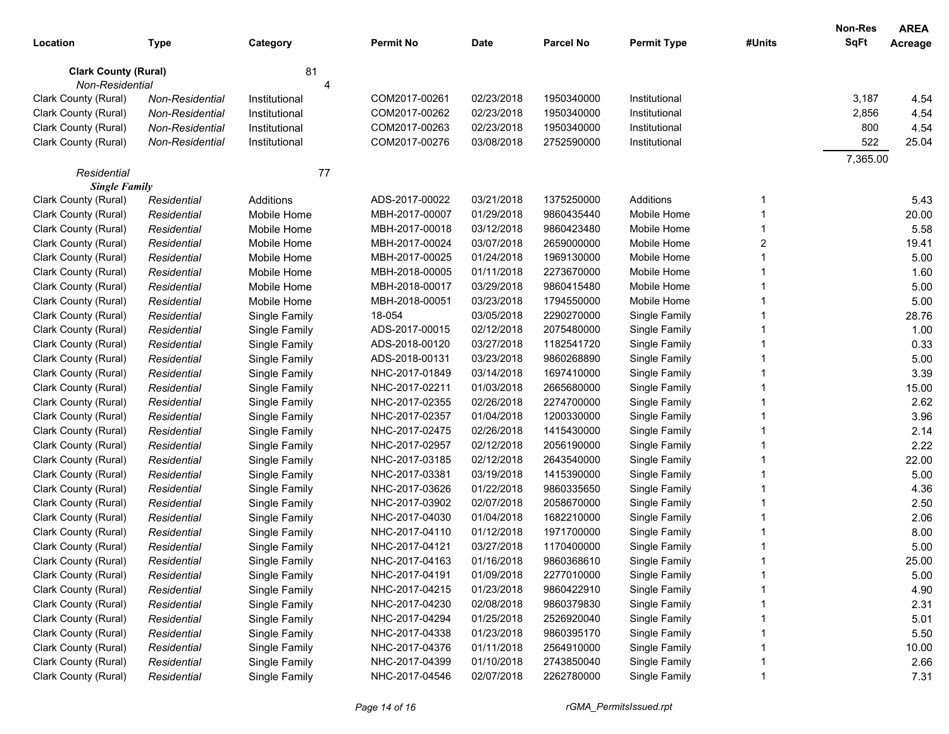| Location                    |                 |               | <b>Permit No</b> | Date       | <b>Parcel No</b> | <b>Permit Type</b> | #Units | Non-Res<br>SqFt | <b>AREA</b><br>Acreage |
|-----------------------------|-----------------|---------------|------------------|------------|------------------|--------------------|--------|-----------------|------------------------|
|                             | <b>Type</b>     | Category      |                  |            |                  |                    |        |                 |                        |
| <b>Clark County (Rural)</b> |                 | 81            |                  |            |                  |                    |        |                 |                        |
| Non-Residential             |                 |               |                  |            |                  |                    |        |                 |                        |
| Clark County (Rural)        | Non-Residential | Institutional | COM2017-00261    | 02/23/2018 | 1950340000       | Institutional      |        | 3,187           | 4.54                   |
| Clark County (Rural)        | Non-Residential | Institutional | COM2017-00262    | 02/23/2018 | 1950340000       | Institutional      |        | 2,856           | 4.54                   |
| Clark County (Rural)        | Non-Residential | Institutional | COM2017-00263    | 02/23/2018 | 1950340000       | Institutional      |        | 800             | 4.54                   |
| Clark County (Rural)        | Non-Residential | Institutional | COM2017-00276    | 03/08/2018 | 2752590000       | Institutional      |        | 522             | 25.04                  |
| Residential                 |                 | 77            |                  |            |                  |                    |        | 7,365.00        |                        |
| <b>Single Family</b>        |                 |               |                  |            |                  |                    |        |                 |                        |
| Clark County (Rural)        | Residential     | Additions     | ADS-2017-00022   | 03/21/2018 | 1375250000       | Additions          |        |                 | 5.43                   |
| Clark County (Rural)        | Residential     | Mobile Home   | MBH-2017-00007   | 01/29/2018 | 9860435440       | Mobile Home        |        |                 | 20.00                  |
| Clark County (Rural)        | Residential     | Mobile Home   | MBH-2017-00018   | 03/12/2018 | 9860423480       | Mobile Home        |        |                 | 5.58                   |
| Clark County (Rural)        | Residential     | Mobile Home   | MBH-2017-00024   | 03/07/2018 | 2659000000       | Mobile Home        | 2      |                 | 19.41                  |
| Clark County (Rural)        | Residential     | Mobile Home   | MBH-2017-00025   | 01/24/2018 | 1969130000       | Mobile Home        |        |                 | 5.00                   |
| Clark County (Rural)        | Residential     | Mobile Home   | MBH-2018-00005   | 01/11/2018 | 2273670000       | Mobile Home        |        |                 | 1.60                   |
| Clark County (Rural)        | Residential     | Mobile Home   | MBH-2018-00017   | 03/29/2018 | 9860415480       | Mobile Home        |        |                 | 5.00                   |
| Clark County (Rural)        | Residential     | Mobile Home   | MBH-2018-00051   | 03/23/2018 | 1794550000       | Mobile Home        |        |                 | 5.00                   |
| Clark County (Rural)        | Residential     | Single Family | 18-054           | 03/05/2018 | 2290270000       | Single Family      |        |                 | 28.76                  |
| Clark County (Rural)        | Residential     | Single Family | ADS-2017-00015   | 02/12/2018 | 2075480000       | Single Family      |        |                 | 1.00                   |
| Clark County (Rural)        | Residential     | Single Family | ADS-2018-00120   | 03/27/2018 | 1182541720       | Single Family      |        |                 | 0.33                   |
| Clark County (Rural)        | Residential     | Single Family | ADS-2018-00131   | 03/23/2018 | 9860268890       | Single Family      |        |                 | 5.00                   |
| Clark County (Rural)        | Residential     | Single Family | NHC-2017-01849   | 03/14/2018 | 1697410000       | Single Family      |        |                 | 3.39                   |
| Clark County (Rural)        | Residential     | Single Family | NHC-2017-02211   | 01/03/2018 | 2665680000       | Single Family      |        |                 | 15.00                  |
| Clark County (Rural)        | Residential     | Single Family | NHC-2017-02355   | 02/26/2018 | 2274700000       | Single Family      |        |                 | 2.62                   |
| Clark County (Rural)        | Residential     | Single Family | NHC-2017-02357   | 01/04/2018 | 1200330000       | Single Family      |        |                 | 3.96                   |
| Clark County (Rural)        | Residential     | Single Family | NHC-2017-02475   | 02/26/2018 | 1415430000       | Single Family      |        |                 | 2.14                   |
| Clark County (Rural)        | Residential     | Single Family | NHC-2017-02957   | 02/12/2018 | 2056190000       | Single Family      |        |                 | 2.22                   |
| Clark County (Rural)        | Residential     | Single Family | NHC-2017-03185   | 02/12/2018 | 2643540000       | Single Family      |        |                 | 22.00                  |
| Clark County (Rural)        | Residential     | Single Family | NHC-2017-03381   | 03/19/2018 | 1415390000       | Single Family      |        |                 | 5.00                   |
| Clark County (Rural)        | Residential     | Single Family | NHC-2017-03626   | 01/22/2018 | 9860335650       | Single Family      |        |                 | 4.36                   |
| Clark County (Rural)        | Residential     | Single Family | NHC-2017-03902   | 02/07/2018 | 2058670000       | Single Family      |        |                 | 2.50                   |
| Clark County (Rural)        | Residential     | Single Family | NHC-2017-04030   | 01/04/2018 | 1682210000       | Single Family      |        |                 | 2.06                   |
| Clark County (Rural)        | Residential     | Single Family | NHC-2017-04110   | 01/12/2018 | 1971700000       | Single Family      |        |                 | 8.00                   |
| Clark County (Rural)        | Residential     | Single Family | NHC-2017-04121   | 03/27/2018 | 1170400000       | Single Family      |        |                 | 5.00                   |
| Clark County (Rural)        | Residential     | Single Family | NHC-2017-04163   | 01/16/2018 | 9860368610       | Single Family      |        |                 | 25.00                  |
| Clark County (Rural)        | Residential     | Single Family | NHC-2017-04191   | 01/09/2018 | 2277010000       | Single Family      |        |                 | 5.00                   |
| Clark County (Rural)        | Residential     | Single Family | NHC-2017-04215   | 01/23/2018 | 9860422910       | Single Family      |        |                 | 4.90                   |
| Clark County (Rural)        | Residential     | Single Family | NHC-2017-04230   | 02/08/2018 | 9860379830       | Single Family      |        |                 | 2.31                   |
| Clark County (Rural)        | Residential     | Single Family | NHC-2017-04294   | 01/25/2018 | 2526920040       | Single Family      |        |                 | 5.01                   |
| Clark County (Rural)        | Residential     | Single Family | NHC-2017-04338   | 01/23/2018 | 9860395170       | Single Family      |        |                 | 5.50                   |
| Clark County (Rural)        | Residential     | Single Family | NHC-2017-04376   | 01/11/2018 | 2564910000       | Single Family      |        |                 | 10.00                  |
| Clark County (Rural)        | Residential     | Single Family | NHC-2017-04399   | 01/10/2018 | 2743850040       | Single Family      |        |                 | 2.66                   |
| Clark County (Rural)        | Residential     | Single Family | NHC-2017-04546   | 02/07/2018 | 2262780000       | Single Family      |        |                 | 7.31                   |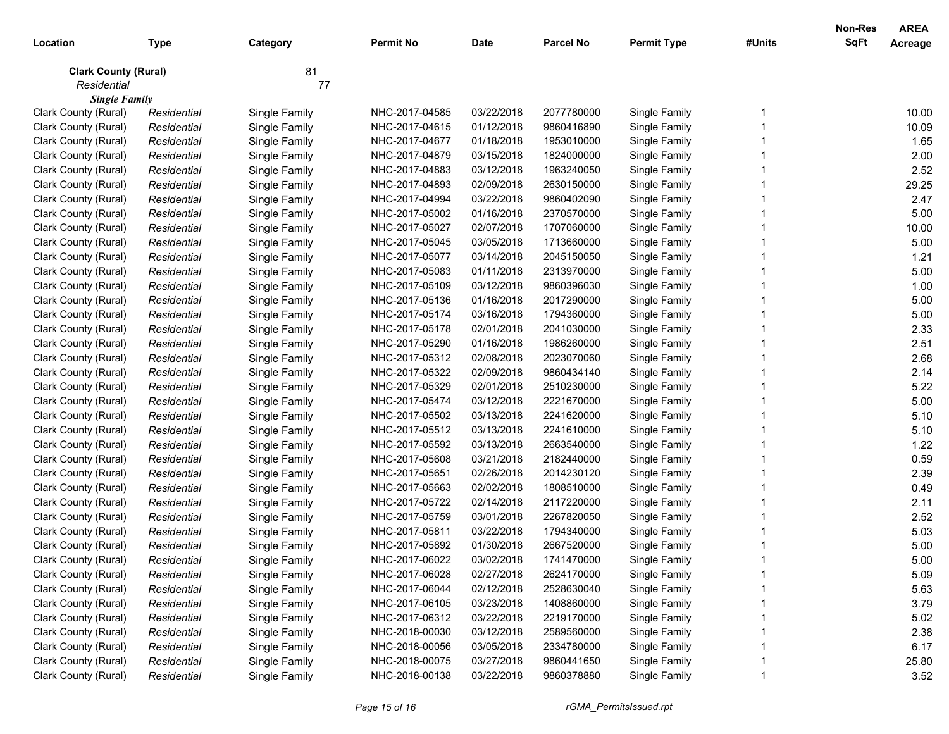| Location                    | <b>Type</b> | Category      | <b>Permit No</b> | <b>Date</b> | <b>Parcel No</b> | <b>Permit Type</b> | #Units | <b>Non-Res</b><br><b>SqFt</b> | <b>AREA</b><br>Acreage |
|-----------------------------|-------------|---------------|------------------|-------------|------------------|--------------------|--------|-------------------------------|------------------------|
| <b>Clark County (Rural)</b> |             | 81            |                  |             |                  |                    |        |                               |                        |
| Residential                 |             | 77            |                  |             |                  |                    |        |                               |                        |
| <b>Single Family</b>        |             |               |                  |             |                  |                    |        |                               |                        |
| Clark County (Rural)        | Residential | Single Family | NHC-2017-04585   | 03/22/2018  | 2077780000       | Single Family      |        |                               | 10.00                  |
| Clark County (Rural)        | Residential | Single Family | NHC-2017-04615   | 01/12/2018  | 9860416890       | Single Family      |        |                               | 10.09                  |
| Clark County (Rural)        | Residential | Single Family | NHC-2017-04677   | 01/18/2018  | 1953010000       | Single Family      |        |                               | 1.65                   |
| Clark County (Rural)        | Residential | Single Family | NHC-2017-04879   | 03/15/2018  | 1824000000       | Single Family      |        |                               | 2.00                   |
| Clark County (Rural)        | Residential | Single Family | NHC-2017-04883   | 03/12/2018  | 1963240050       | Single Family      |        |                               | 2.52                   |
| Clark County (Rural)        | Residential | Single Family | NHC-2017-04893   | 02/09/2018  | 2630150000       | Single Family      |        |                               | 29.25                  |
| Clark County (Rural)        | Residential | Single Family | NHC-2017-04994   | 03/22/2018  | 9860402090       | Single Family      |        |                               | 2.47                   |
| Clark County (Rural)        | Residential | Single Family | NHC-2017-05002   | 01/16/2018  | 2370570000       | Single Family      |        |                               | 5.00                   |
| Clark County (Rural)        | Residential | Single Family | NHC-2017-05027   | 02/07/2018  | 1707060000       | Single Family      |        |                               | 10.00                  |
| Clark County (Rural)        | Residential | Single Family | NHC-2017-05045   | 03/05/2018  | 1713660000       | Single Family      |        |                               | 5.00                   |
| Clark County (Rural)        | Residential | Single Family | NHC-2017-05077   | 03/14/2018  | 2045150050       | Single Family      |        |                               | 1.21                   |
| Clark County (Rural)        | Residential | Single Family | NHC-2017-05083   | 01/11/2018  | 2313970000       | Single Family      |        |                               | 5.00                   |
| Clark County (Rural)        | Residential | Single Family | NHC-2017-05109   | 03/12/2018  | 9860396030       | Single Family      |        |                               | 1.00                   |
| Clark County (Rural)        | Residential | Single Family | NHC-2017-05136   | 01/16/2018  | 2017290000       | Single Family      |        |                               | 5.00                   |
| Clark County (Rural)        | Residential | Single Family | NHC-2017-05174   | 03/16/2018  | 1794360000       | Single Family      |        |                               | 5.00                   |
| Clark County (Rural)        | Residential | Single Family | NHC-2017-05178   | 02/01/2018  | 2041030000       | Single Family      |        |                               | 2.33                   |
| Clark County (Rural)        | Residential | Single Family | NHC-2017-05290   | 01/16/2018  | 1986260000       | Single Family      |        |                               | 2.51                   |
| Clark County (Rural)        | Residential | Single Family | NHC-2017-05312   | 02/08/2018  | 2023070060       | Single Family      |        |                               | 2.68                   |
| Clark County (Rural)        | Residential | Single Family | NHC-2017-05322   | 02/09/2018  | 9860434140       | Single Family      |        |                               | 2.14                   |
| Clark County (Rural)        | Residential | Single Family | NHC-2017-05329   | 02/01/2018  | 2510230000       | Single Family      |        |                               | 5.22                   |
| Clark County (Rural)        | Residential | Single Family | NHC-2017-05474   | 03/12/2018  | 2221670000       | Single Family      |        |                               | 5.00                   |
| Clark County (Rural)        | Residential | Single Family | NHC-2017-05502   | 03/13/2018  | 2241620000       | Single Family      |        |                               | 5.10                   |
| Clark County (Rural)        | Residential | Single Family | NHC-2017-05512   | 03/13/2018  | 2241610000       | Single Family      |        |                               | 5.10                   |
| Clark County (Rural)        | Residential | Single Family | NHC-2017-05592   | 03/13/2018  | 2663540000       | Single Family      |        |                               | 1.22                   |
| Clark County (Rural)        | Residential | Single Family | NHC-2017-05608   | 03/21/2018  | 2182440000       | Single Family      |        |                               | 0.59                   |
| Clark County (Rural)        | Residential | Single Family | NHC-2017-05651   | 02/26/2018  | 2014230120       | Single Family      |        |                               | 2.39                   |
| Clark County (Rural)        | Residential | Single Family | NHC-2017-05663   | 02/02/2018  | 1808510000       | Single Family      |        |                               | 0.49                   |
| Clark County (Rural)        | Residential | Single Family | NHC-2017-05722   | 02/14/2018  | 2117220000       | Single Family      |        |                               | 2.11                   |
| Clark County (Rural)        | Residential | Single Family | NHC-2017-05759   | 03/01/2018  | 2267820050       | Single Family      |        |                               | 2.52                   |
| Clark County (Rural)        | Residential | Single Family | NHC-2017-05811   | 03/22/2018  | 1794340000       | Single Family      |        |                               | 5.03                   |
| Clark County (Rural)        | Residential | Single Family | NHC-2017-05892   | 01/30/2018  | 2667520000       | Single Family      |        |                               | 5.00                   |
| Clark County (Rural)        | Residential | Single Family | NHC-2017-06022   | 03/02/2018  | 1741470000       | Single Family      |        |                               | 5.00                   |
| Clark County (Rural)        | Residential | Single Family | NHC-2017-06028   | 02/27/2018  | 2624170000       | Single Family      |        |                               | 5.09                   |
| Clark County (Rural)        | Residential | Single Family | NHC-2017-06044   | 02/12/2018  | 2528630040       | Single Family      |        |                               | 5.63                   |
| Clark County (Rural)        | Residential | Single Family | NHC-2017-06105   | 03/23/2018  | 1408860000       | Single Family      |        |                               | 3.79                   |
| Clark County (Rural)        | Residential | Single Family | NHC-2017-06312   | 03/22/2018  | 2219170000       | Single Family      |        |                               | 5.02                   |
| Clark County (Rural)        | Residential | Single Family | NHC-2018-00030   | 03/12/2018  | 2589560000       | Single Family      |        |                               | 2.38                   |
| Clark County (Rural)        | Residential | Single Family | NHC-2018-00056   | 03/05/2018  | 2334780000       | Single Family      |        |                               | 6.17                   |
| Clark County (Rural)        | Residential | Single Family | NHC-2018-00075   | 03/27/2018  | 9860441650       | Single Family      |        |                               | 25.80                  |
| Clark County (Rural)        | Residential | Single Family | NHC-2018-00138   | 03/22/2018  | 9860378880       | Single Family      |        |                               | 3.52                   |